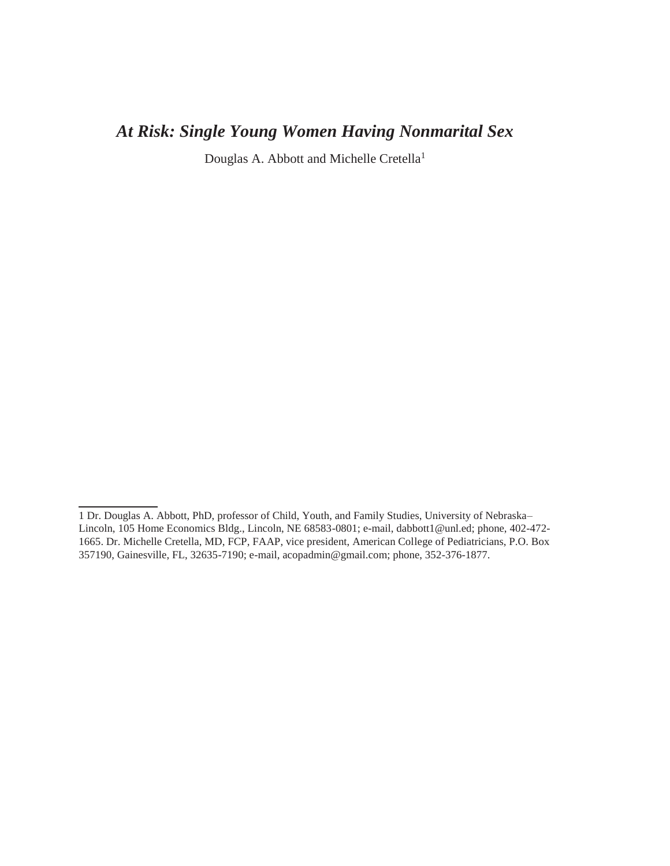# *At Risk: Single Young Women Having Nonmarital Sex*

Douglas A. Abbott and Michelle Cretella<sup>1</sup>

<sup>1</sup> Dr. Douglas A. Abbott, PhD, professor of Child, Youth, and Family Studies, University of Nebraska– Lincoln, 105 Home Economics Bldg., Lincoln, NE 68583-0801; e-mail, dabbott1@unl.ed; phone, 402-472- 1665. Dr. Michelle Cretella, MD, FCP, FAAP, vice president, American College of Pediatricians, P.O. Box 357190, Gainesville, FL, 32635-7190; e-mail, acopadmin@gmail.com; phone, 352-376-1877.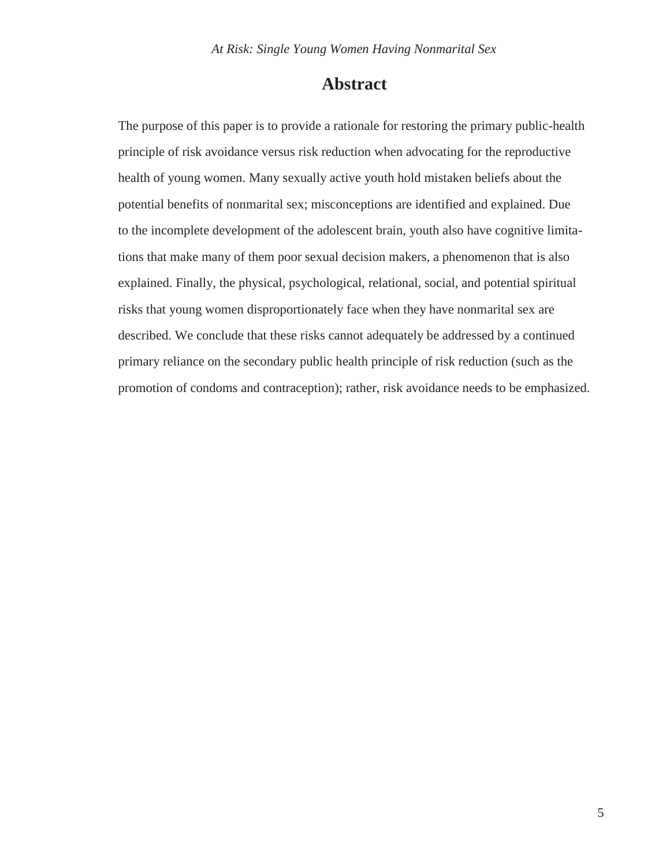# **Abstract**

The purpose of this paper is to provide a rationale for restoring the primary public-health principle of risk avoidance versus risk reduction when advocating for the reproductive health of young women. Many sexually active youth hold mistaken beliefs about the potential benefits of nonmarital sex; misconceptions are identified and explained. Due to the incomplete development of the adolescent brain, youth also have cognitive limitations that make many of them poor sexual decision makers, a phenomenon that is also explained. Finally, the physical, psychological, relational, social, and potential spiritual risks that young women disproportionately face when they have nonmarital sex are described. We conclude that these risks cannot adequately be addressed by a continued primary reliance on the secondary public health principle of risk reduction (such as the promotion of condoms and contraception); rather, risk avoidance needs to be emphasized.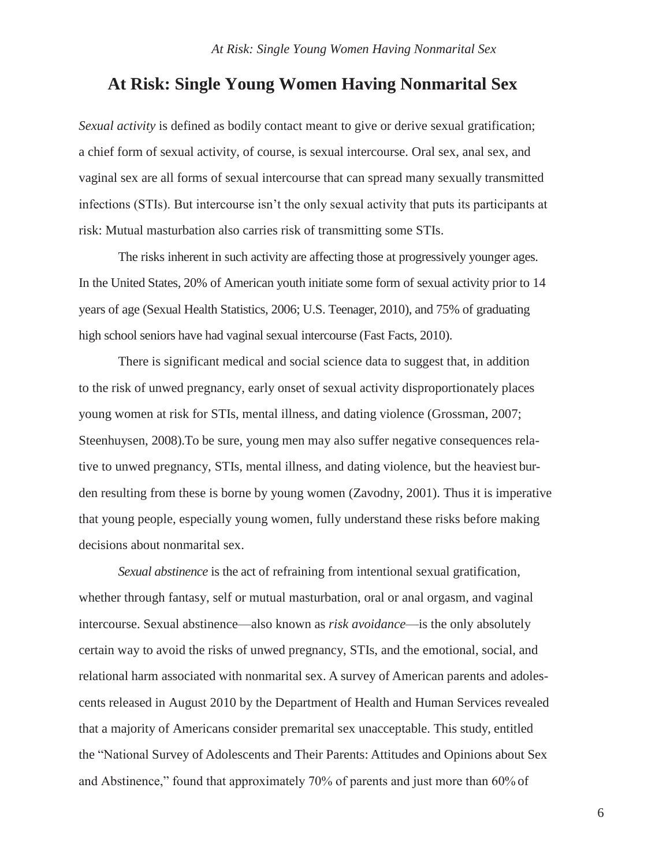# **At Risk: Single Young Women Having Nonmarital Sex**

*Sexual activity* is defined as bodily contact meant to give or derive sexual gratification; a chief form of sexual activity, of course, is sexual intercourse. Oral sex, anal sex, and vaginal sex are all forms of sexual intercourse that can spread many sexually transmitted infections (STIs). But intercourse isn't the only sexual activity that puts its participants at risk: Mutual masturbation also carries risk of transmitting some STIs.

The risks inherent in such activity are affecting those at progressively younger ages. In the United States, 20% of American youth initiate some form of sexual activity prior to 14 years of age (Sexual Health Statistics, 2006; U.S. Teenager, 2010), and 75% of graduating high school seniors have had vaginal sexual intercourse (Fast Facts, 2010).

There is significant medical and social science data to suggest that, in addition to the risk of unwed pregnancy, early onset of sexual activity disproportionately places young women at risk for STIs, mental illness, and dating violence (Grossman, 2007; Steenhuysen, 2008).To be sure, young men may also suffer negative consequences relative to unwed pregnancy, STIs, mental illness, and dating violence, but the heaviest burden resulting from these is borne by young women (Zavodny, 2001). Thus it is imperative that young people, especially young women, fully understand these risks before making decisions about nonmarital sex.

*Sexual abstinence* is the act of refraining from intentional sexual gratification, whether through fantasy, self or mutual masturbation, oral or anal orgasm, and vaginal intercourse. Sexual abstinence—also known as *risk avoidance*—is the only absolutely certain way to avoid the risks of unwed pregnancy, STIs, and the emotional, social, and relational harm associated with nonmarital sex. A survey of American parents and adolescents released in August 2010 by the Department of Health and Human Services revealed that a majority of Americans consider premarital sex unacceptable. This study, entitled the "National Survey of Adolescents and Their Parents: Attitudes and Opinions about Sex and Abstinence," found that approximately 70% of parents and just more than 60% of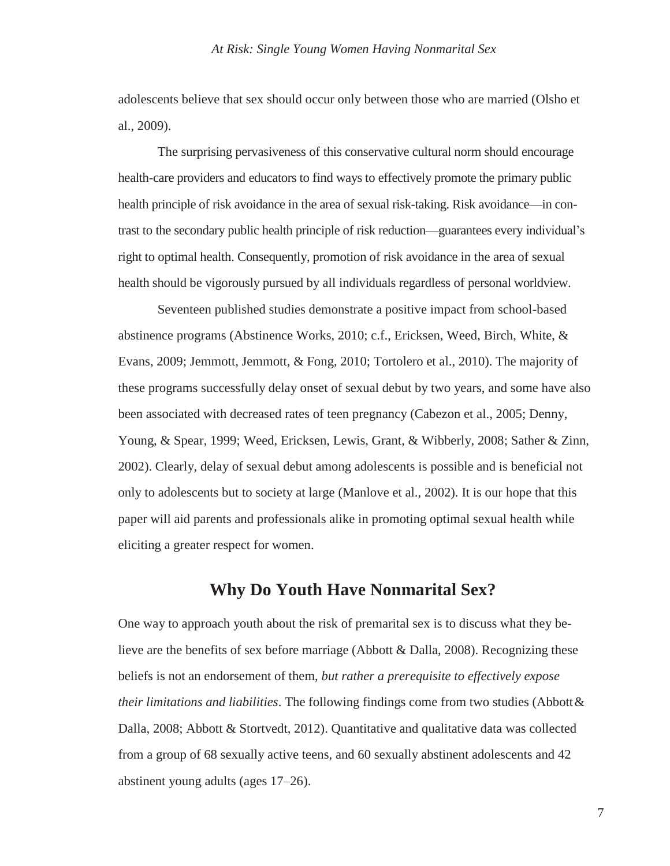adolescents believe that sex should occur only between those who are married (Olsho et al., 2009).

The surprising pervasiveness of this conservative cultural norm should encourage health-care providers and educators to find ways to effectively promote the primary public health principle of risk avoidance in the area of sexual risk-taking. Risk avoidance—in contrast to the secondary public health principle of risk reduction—guarantees every individual's right to optimal health. Consequently, promotion of risk avoidance in the area of sexual health should be vigorously pursued by all individuals regardless of personal worldview.

Seventeen published studies demonstrate a positive impact from school-based abstinence programs (Abstinence Works, 2010; c.f., Ericksen, Weed, Birch, White, & Evans, 2009; Jemmott, Jemmott, & Fong, 2010; Tortolero et al., 2010). The majority of these programs successfully delay onset of sexual debut by two years, and some have also been associated with decreased rates of teen pregnancy (Cabezon et al., 2005; Denny, Young, & Spear, 1999; Weed, Ericksen, Lewis, Grant, & Wibberly, 2008; Sather & Zinn, 2002). Clearly, delay of sexual debut among adolescents is possible and is beneficial not only to adolescents but to society at large (Manlove et al., 2002). It is our hope that this paper will aid parents and professionals alike in promoting optimal sexual health while eliciting a greater respect for women.

# **Why Do Youth Have Nonmarital Sex?**

One way to approach youth about the risk of premarital sex is to discuss what they believe are the benefits of sex before marriage (Abbott & Dalla, 2008). Recognizing these beliefs is not an endorsement of them, *but rather a prerequisite to effectively expose their limitations and liabilities*. The following findings come from two studies (Abbott& Dalla, 2008; Abbott & Stortvedt, 2012). Quantitative and qualitative data was collected from a group of 68 sexually active teens, and 60 sexually abstinent adolescents and 42 abstinent young adults (ages 17–26).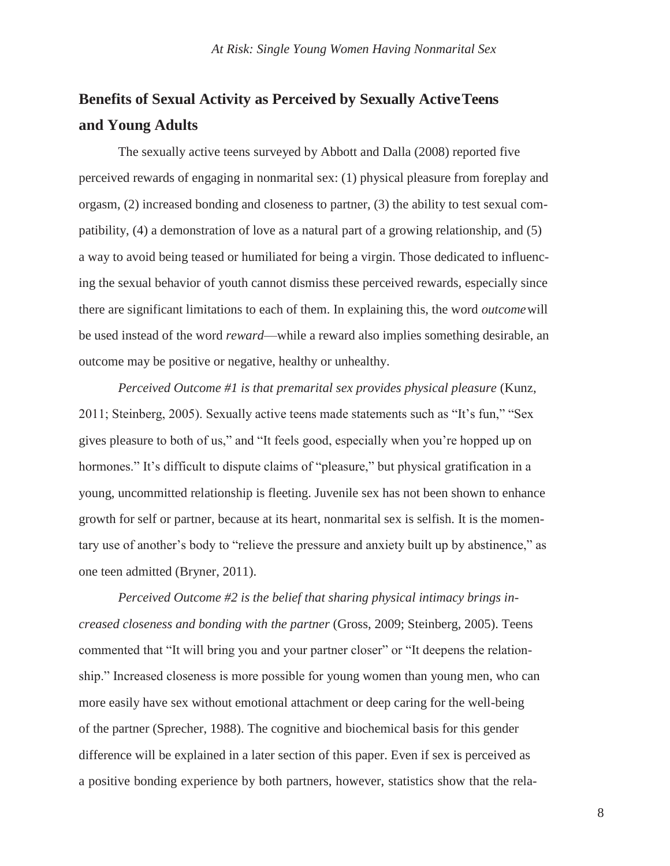# **Benefits of Sexual Activity as Perceived by Sexually ActiveTeens and Young Adults**

The sexually active teens surveyed by Abbott and Dalla (2008) reported five perceived rewards of engaging in nonmarital sex: (1) physical pleasure from foreplay and orgasm, (2) increased bonding and closeness to partner, (3) the ability to test sexual compatibility, (4) a demonstration of love as a natural part of a growing relationship, and (5) a way to avoid being teased or humiliated for being a virgin. Those dedicated to influencing the sexual behavior of youth cannot dismiss these perceived rewards, especially since there are significant limitations to each of them. In explaining this, the word *outcome*will be used instead of the word *reward*—while a reward also implies something desirable, an outcome may be positive or negative, healthy or unhealthy.

*Perceived Outcome #1 is that premarital sex provides physical pleasure* (Kunz, 2011; Steinberg, 2005). Sexually active teens made statements such as "It's fun," "Sex gives pleasure to both of us," and "It feels good, especially when you're hopped up on hormones." It's difficult to dispute claims of "pleasure," but physical gratification in a young, uncommitted relationship is fleeting. Juvenile sex has not been shown to enhance growth for self or partner, because at its heart, nonmarital sex is selfish. It is the momentary use of another's body to "relieve the pressure and anxiety built up by abstinence," as one teen admitted (Bryner, 2011).

*Perceived Outcome #2 is the belief that sharing physical intimacy brings increased closeness and bonding with the partner* (Gross, 2009; Steinberg, 2005). Teens commented that "It will bring you and your partner closer" or "It deepens the relationship." Increased closeness is more possible for young women than young men, who can more easily have sex without emotional attachment or deep caring for the well-being of the partner (Sprecher, 1988). The cognitive and biochemical basis for this gender difference will be explained in a later section of this paper. Even if sex is perceived as a positive bonding experience by both partners, however, statistics show that the rela-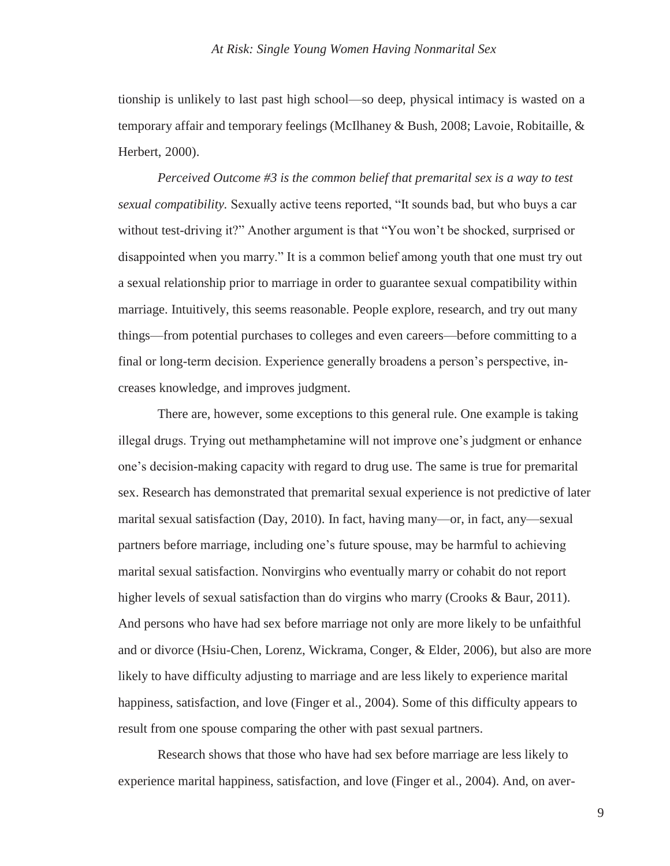tionship is unlikely to last past high school—so deep, physical intimacy is wasted on a temporary affair and temporary feelings (McIlhaney & Bush, 2008; Lavoie, Robitaille, & Herbert, 2000).

*Perceived Outcome #3 is the common belief that premarital sex is a way to test sexual compatibility.* Sexually active teens reported, "It sounds bad, but who buys a car without test-driving it?" Another argument is that "You won't be shocked, surprised or disappointed when you marry." It is a common belief among youth that one must try out a sexual relationship prior to marriage in order to guarantee sexual compatibility within marriage. Intuitively, this seems reasonable. People explore, research, and try out many things—from potential purchases to colleges and even careers—before committing to a final or long-term decision. Experience generally broadens a person's perspective, increases knowledge, and improves judgment.

There are, however, some exceptions to this general rule. One example is taking illegal drugs. Trying out methamphetamine will not improve one's judgment or enhance one's decision-making capacity with regard to drug use. The same is true for premarital sex. Research has demonstrated that premarital sexual experience is not predictive of later marital sexual satisfaction (Day, 2010). In fact, having many—or, in fact, any—sexual partners before marriage, including one's future spouse, may be harmful to achieving marital sexual satisfaction. Nonvirgins who eventually marry or cohabit do not report higher levels of sexual satisfaction than do virgins who marry (Crooks & Baur, 2011). And persons who have had sex before marriage not only are more likely to be unfaithful and or divorce (Hsiu-Chen, Lorenz, Wickrama, Conger, & Elder, 2006), but also are more likely to have difficulty adjusting to marriage and are less likely to experience marital happiness, satisfaction, and love (Finger et al., 2004). Some of this difficulty appears to result from one spouse comparing the other with past sexual partners.

Research shows that those who have had sex before marriage are less likely to experience marital happiness, satisfaction, and love (Finger et al., 2004). And, on aver-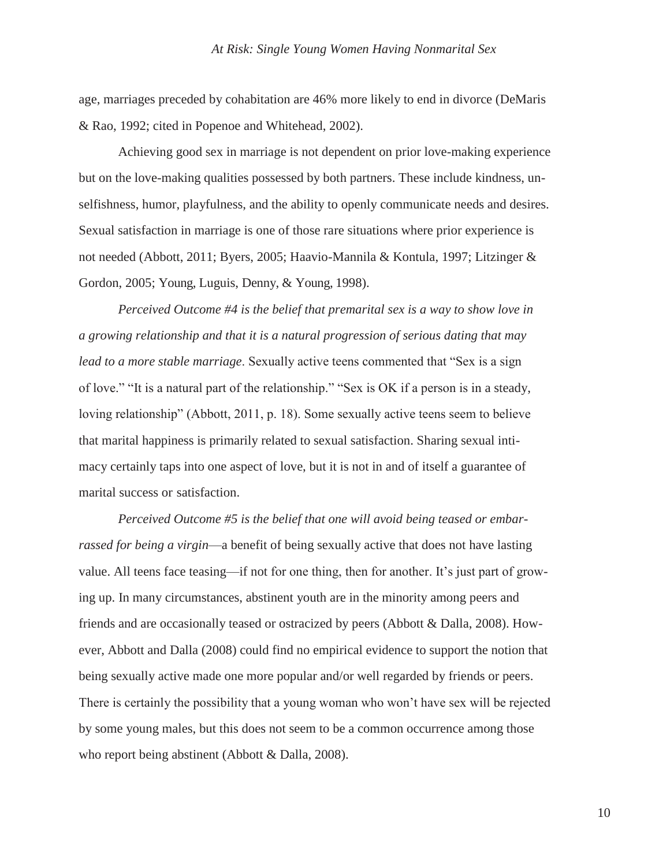age, marriages preceded by cohabitation are 46% more likely to end in divorce (DeMaris & Rao, 1992; cited in Popenoe and Whitehead, 2002).

Achieving good sex in marriage is not dependent on prior love-making experience but on the love-making qualities possessed by both partners. These include kindness, unselfishness, humor, playfulness, and the ability to openly communicate needs and desires. Sexual satisfaction in marriage is one of those rare situations where prior experience is not needed (Abbott, 2011; Byers, 2005; Haavio-Mannila & Kontula, 1997; Litzinger & Gordon, 2005; Young, Luguis, Denny, & Young, 1998).

*Perceived Outcome #4 is the belief that premarital sex is a way to show love in a growing relationship and that it is a natural progression of serious dating that may lead to a more stable marriage*. Sexually active teens commented that "Sex is a sign of love." "It is a natural part of the relationship." "Sex is OK if a person is in a steady, loving relationship" (Abbott, 2011, p. 18). Some sexually active teens seem to believe that marital happiness is primarily related to sexual satisfaction. Sharing sexual intimacy certainly taps into one aspect of love, but it is not in and of itself a guarantee of marital success or satisfaction.

*Perceived Outcome #5 is the belief that one will avoid being teased or embarrassed for being a virgin*—a benefit of being sexually active that does not have lasting value. All teens face teasing—if not for one thing, then for another. It's just part of growing up. In many circumstances, abstinent youth are in the minority among peers and friends and are occasionally teased or ostracized by peers (Abbott & Dalla, 2008). However, Abbott and Dalla (2008) could find no empirical evidence to support the notion that being sexually active made one more popular and/or well regarded by friends or peers. There is certainly the possibility that a young woman who won't have sex will be rejected by some young males, but this does not seem to be a common occurrence among those who report being abstinent (Abbott & Dalla, 2008).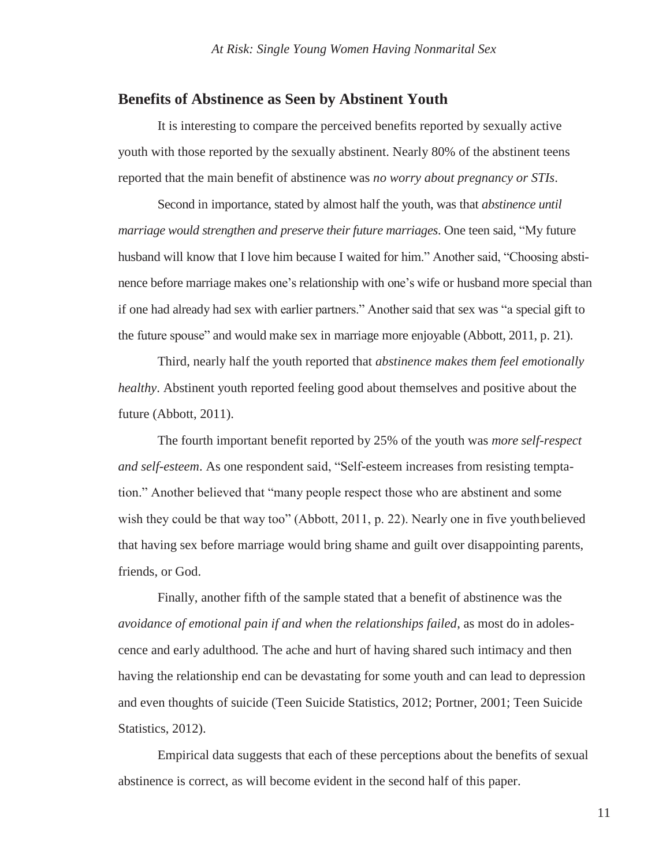## **Benefits of Abstinence as Seen by Abstinent Youth**

It is interesting to compare the perceived benefits reported by sexually active youth with those reported by the sexually abstinent. Nearly 80% of the abstinent teens reported that the main benefit of abstinence was *no worry about pregnancy or STIs*.

Second in importance, stated by almost half the youth, was that *abstinence until marriage would strengthen and preserve their future marriages*. One teen said, "My future husband will know that I love him because I waited for him." Another said, "Choosing abstinence before marriage makes one's relationship with one's wife or husband more special than if one had already had sex with earlier partners." Another said that sex was "a special gift to the future spouse" and would make sex in marriage more enjoyable (Abbott, 2011, p. 21).

Third, nearly half the youth reported that *abstinence makes them feel emotionally healthy*. Abstinent youth reported feeling good about themselves and positive about the future (Abbott, 2011).

The fourth important benefit reported by 25% of the youth was *more self-respect and self-esteem*. As one respondent said, "Self-esteem increases from resisting temptation." Another believed that "many people respect those who are abstinent and some wish they could be that way too" (Abbott, 2011, p. 22). Nearly one in five youth believed that having sex before marriage would bring shame and guilt over disappointing parents, friends, or God.

Finally, another fifth of the sample stated that a benefit of abstinence was the *avoidance of emotional pain if and when the relationships failed*, as most do in adolescence and early adulthood*.* The ache and hurt of having shared such intimacy and then having the relationship end can be devastating for some youth and can lead to depression and even thoughts of suicide (Teen Suicide Statistics, 2012; Portner, 2001; Teen Suicide Statistics, 2012).

Empirical data suggests that each of these perceptions about the benefits of sexual abstinence is correct, as will become evident in the second half of this paper.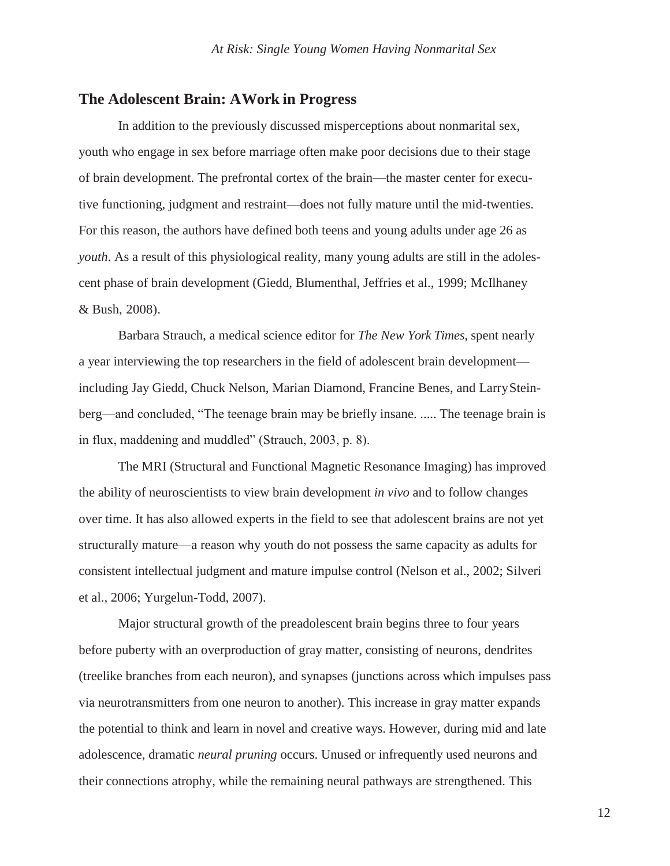## **The Adolescent Brain: AWork in Progress**

In addition to the previously discussed misperceptions about nonmarital sex, youth who engage in sex before marriage often make poor decisions due to their stage of brain development. The prefrontal cortex of the brain—the master center for executive functioning, judgment and restraint—does not fully mature until the mid-twenties. For this reason, the authors have defined both teens and young adults under age 26 as *youth*. As a result of this physiological reality, many young adults are still in the adolescent phase of brain development (Giedd, Blumenthal, Jeffries et al., 1999; McIlhaney & Bush, 2008).

Barbara Strauch, a medical science editor for *The New York Times*, spent nearly a year interviewing the top researchers in the field of adolescent brain development including Jay Giedd, Chuck Nelson, Marian Diamond, Francine Benes, and LarrySteinberg—and concluded, "The teenage brain may be briefly insane. ..... The teenage brain is in flux, maddening and muddled" (Strauch, 2003, p. 8).

The MRI (Structural and Functional Magnetic Resonance Imaging) has improved the ability of neuroscientists to view brain development *in vivo* and to follow changes over time. It has also allowed experts in the field to see that adolescent brains are not yet structurally mature—a reason why youth do not possess the same capacity as adults for consistent intellectual judgment and mature impulse control (Nelson et al., 2002; Silveri et al., 2006; Yurgelun-Todd, 2007).

Major structural growth of the preadolescent brain begins three to four years before puberty with an overproduction of gray matter, consisting of neurons, dendrites (treelike branches from each neuron), and synapses (junctions across which impulses pass via neurotransmitters from one neuron to another). This increase in gray matter expands the potential to think and learn in novel and creative ways. However, during mid and late adolescence, dramatic *neural pruning* occurs. Unused or infrequently used neurons and their connections atrophy, while the remaining neural pathways are strengthened. This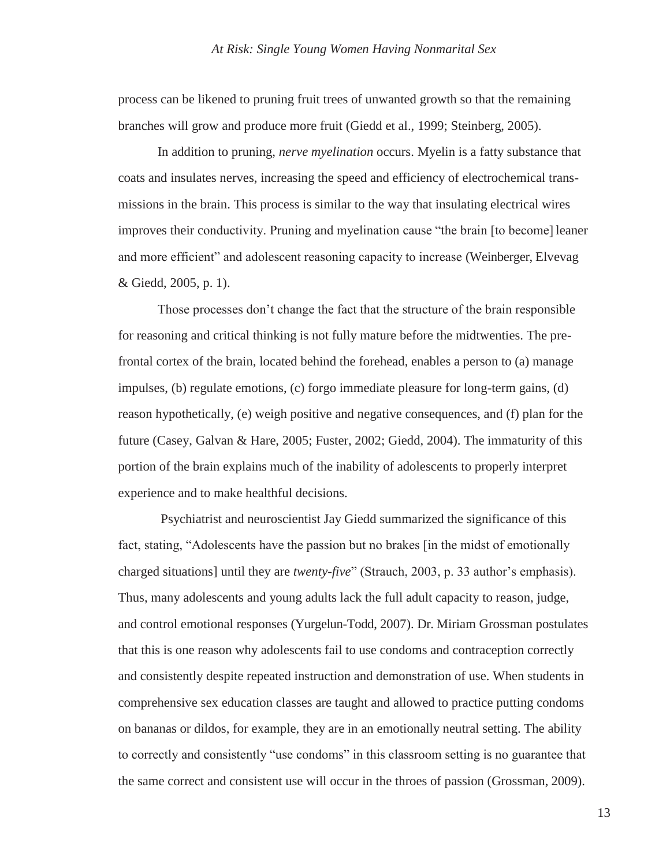process can be likened to pruning fruit trees of unwanted growth so that the remaining branches will grow and produce more fruit (Giedd et al., 1999; Steinberg, 2005).

In addition to pruning, *nerve myelination* occurs. Myelin is a fatty substance that coats and insulates nerves, increasing the speed and efficiency of electrochemical transmissions in the brain. This process is similar to the way that insulating electrical wires improves their conductivity. Pruning and myelination cause "the brain [to become] leaner and more efficient" and adolescent reasoning capacity to increase (Weinberger, Elvevag & Giedd, 2005, p. 1).

Those processes don't change the fact that the structure of the brain responsible for reasoning and critical thinking is not fully mature before the midtwenties. The prefrontal cortex of the brain, located behind the forehead, enables a person to (a) manage impulses, (b) regulate emotions, (c) forgo immediate pleasure for long-term gains, (d) reason hypothetically, (e) weigh positive and negative consequences, and (f) plan for the future (Casey, Galvan & Hare, 2005; Fuster, 2002; Giedd, 2004). The immaturity of this portion of the brain explains much of the inability of adolescents to properly interpret experience and to make healthful decisions.

Psychiatrist and neuroscientist Jay Giedd summarized the significance of this fact, stating, "Adolescents have the passion but no brakes [in the midst of emotionally charged situations] until they are *twenty-five*" (Strauch, 2003, p. 33 author's emphasis). Thus, many adolescents and young adults lack the full adult capacity to reason, judge, and control emotional responses (Yurgelun-Todd, 2007). Dr. Miriam Grossman postulates that this is one reason why adolescents fail to use condoms and contraception correctly and consistently despite repeated instruction and demonstration of use. When students in comprehensive sex education classes are taught and allowed to practice putting condoms on bananas or dildos, for example, they are in an emotionally neutral setting. The ability to correctly and consistently "use condoms" in this classroom setting is no guarantee that the same correct and consistent use will occur in the throes of passion (Grossman, 2009).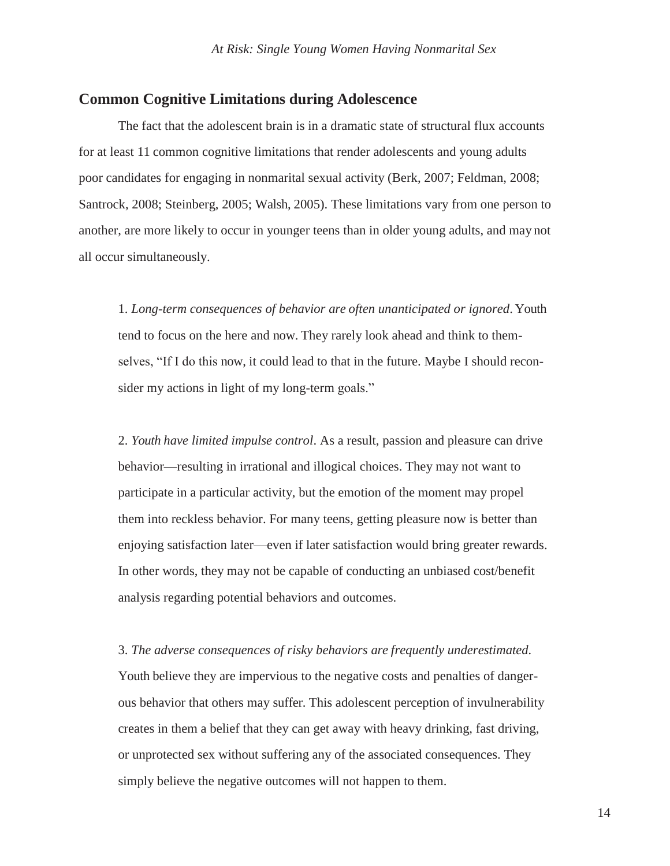## **Common Cognitive Limitations during Adolescence**

The fact that the adolescent brain is in a dramatic state of structural flux accounts for at least 11 common cognitive limitations that render adolescents and young adults poor candidates for engaging in nonmarital sexual activity (Berk, 2007; Feldman, 2008; Santrock, 2008; Steinberg, 2005; Walsh, 2005). These limitations vary from one person to another, are more likely to occur in younger teens than in older young adults, and may not all occur simultaneously.

1. *Long-term consequences of behavior are often unanticipated or ignored*. Youth tend to focus on the here and now. They rarely look ahead and think to themselves, "If I do this now, it could lead to that in the future. Maybe I should reconsider my actions in light of my long-term goals."

2. *Youth have limited impulse control*. As a result, passion and pleasure can drive behavior—resulting in irrational and illogical choices. They may not want to participate in a particular activity, but the emotion of the moment may propel them into reckless behavior. For many teens, getting pleasure now is better than enjoying satisfaction later—even if later satisfaction would bring greater rewards. In other words, they may not be capable of conducting an unbiased cost/benefit analysis regarding potential behaviors and outcomes.

3. *The adverse consequences of risky behaviors are frequently underestimated.* 

Youth believe they are impervious to the negative costs and penalties of dangerous behavior that others may suffer. This adolescent perception of invulnerability creates in them a belief that they can get away with heavy drinking, fast driving, or unprotected sex without suffering any of the associated consequences. They simply believe the negative outcomes will not happen to them.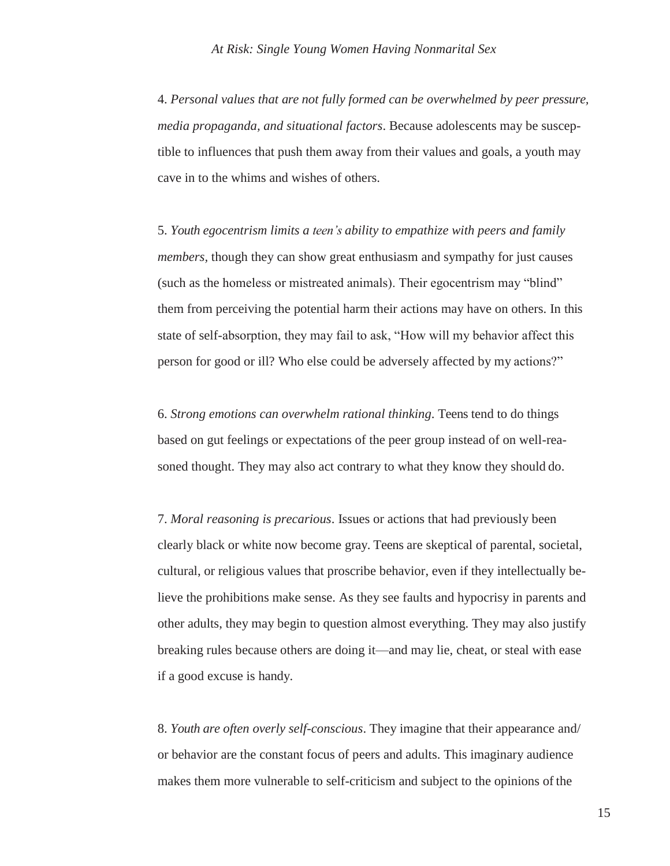4. *Personal values that are not fully formed can be overwhelmed by peer pressure, media propaganda, and situational factors*. Because adolescents may be susceptible to influences that push them away from their values and goals, a youth may cave in to the whims and wishes of others.

5. *Youth egocentrism limits a teen's ability to empathize with peers and family members,* though they can show great enthusiasm and sympathy for just causes (such as the homeless or mistreated animals). Their egocentrism may "blind" them from perceiving the potential harm their actions may have on others. In this state of self-absorption, they may fail to ask, "How will my behavior affect this person for good or ill? Who else could be adversely affected by my actions?"

6. *Strong emotions can overwhelm rational thinking*. Teens tend to do things based on gut feelings or expectations of the peer group instead of on well-reasoned thought. They may also act contrary to what they know they should do.

7. *Moral reasoning is precarious*. Issues or actions that had previously been clearly black or white now become gray. Teens are skeptical of parental, societal, cultural, or religious values that proscribe behavior, even if they intellectually believe the prohibitions make sense. As they see faults and hypocrisy in parents and other adults, they may begin to question almost everything. They may also justify breaking rules because others are doing it—and may lie, cheat, or steal with ease if a good excuse is handy.

8. *Youth are often overly self-conscious*. They imagine that their appearance and/ or behavior are the constant focus of peers and adults. This imaginary audience makes them more vulnerable to self-criticism and subject to the opinions of the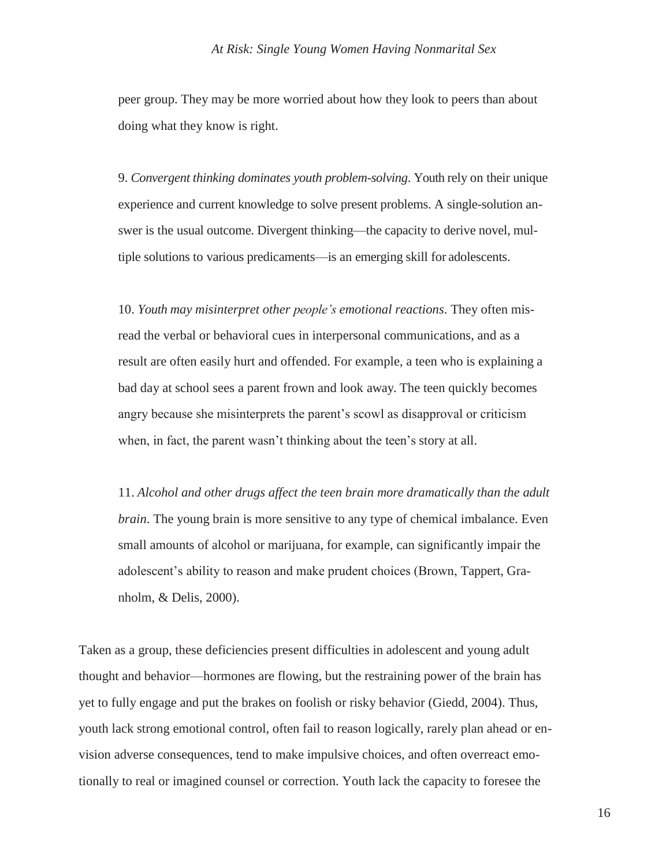### *At Risk: Single Young Women Having Nonmarital Sex*

peer group. They may be more worried about how they look to peers than about doing what they know is right.

9. *Convergent thinking dominates youth problem-solving*. Youth rely on their unique experience and current knowledge to solve present problems. A single-solution answer is the usual outcome. Divergent thinking—the capacity to derive novel, multiple solutions to various predicaments—is an emerging skill for adolescents.

10. *Youth may misinterpret other people's emotional reactions*. They often misread the verbal or behavioral cues in interpersonal communications, and as a result are often easily hurt and offended. For example, a teen who is explaining a bad day at school sees a parent frown and look away. The teen quickly becomes angry because she misinterprets the parent's scowl as disapproval or criticism when, in fact, the parent wasn't thinking about the teen's story at all.

11. *Alcohol and other drugs affect the teen brain more dramatically than the adult brain*. The young brain is more sensitive to any type of chemical imbalance. Even small amounts of alcohol or marijuana, for example, can significantly impair the adolescent's ability to reason and make prudent choices (Brown, Tappert, Granholm, & Delis, 2000).

Taken as a group, these deficiencies present difficulties in adolescent and young adult thought and behavior—hormones are flowing, but the restraining power of the brain has yet to fully engage and put the brakes on foolish or risky behavior (Giedd, 2004). Thus, youth lack strong emotional control, often fail to reason logically, rarely plan ahead or envision adverse consequences, tend to make impulsive choices, and often overreact emotionally to real or imagined counsel or correction. Youth lack the capacity to foresee the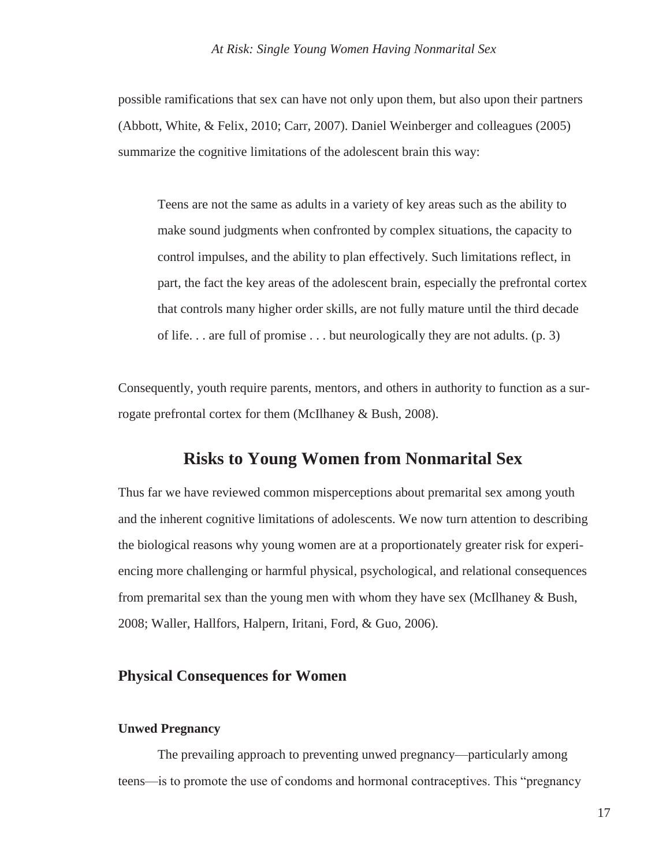possible ramifications that sex can have not only upon them, but also upon their partners (Abbott, White, & Felix, 2010; Carr, 2007). Daniel Weinberger and colleagues (2005) summarize the cognitive limitations of the adolescent brain this way:

Teens are not the same as adults in a variety of key areas such as the ability to make sound judgments when confronted by complex situations, the capacity to control impulses, and the ability to plan effectively. Such limitations reflect, in part, the fact the key areas of the adolescent brain, especially the prefrontal cortex that controls many higher order skills, are not fully mature until the third decade of life. . . are full of promise . . . but neurologically they are not adults. (p. 3)

Consequently, youth require parents, mentors, and others in authority to function as a surrogate prefrontal cortex for them (McIlhaney & Bush, 2008).

# **Risks to Young Women from Nonmarital Sex**

Thus far we have reviewed common misperceptions about premarital sex among youth and the inherent cognitive limitations of adolescents. We now turn attention to describing the biological reasons why young women are at a proportionately greater risk for experiencing more challenging or harmful physical, psychological, and relational consequences from premarital sex than the young men with whom they have sex (McIlhaney & Bush, 2008; Waller, Hallfors, Halpern, Iritani, Ford, & Guo, 2006).

# **Physical Consequences for Women**

### **Unwed Pregnancy**

The prevailing approach to preventing unwed pregnancy—particularly among teens—is to promote the use of condoms and hormonal contraceptives. This "pregnancy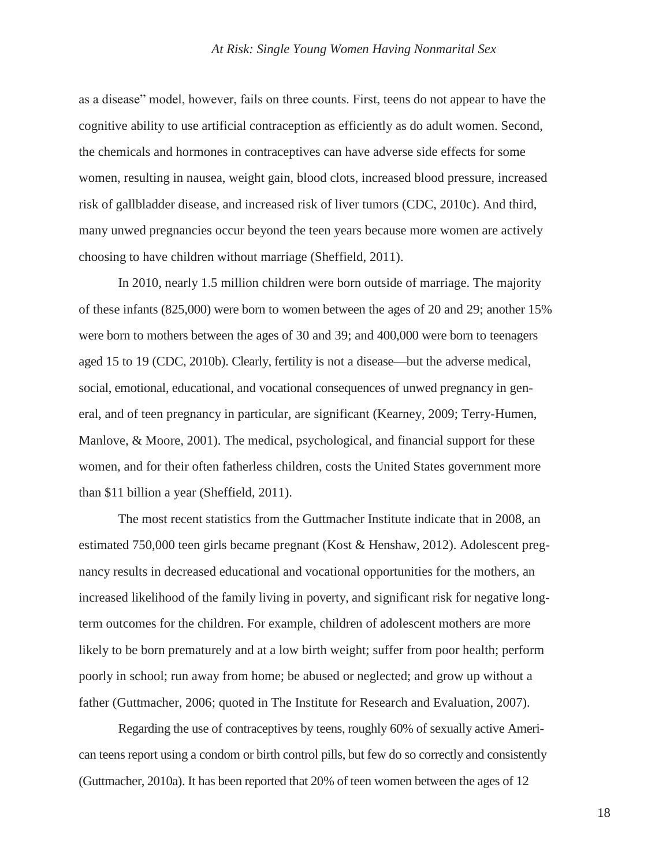as a disease" model, however, fails on three counts. First, teens do not appear to have the cognitive ability to use artificial contraception as efficiently as do adult women. Second, the chemicals and hormones in contraceptives can have adverse side effects for some women, resulting in nausea, weight gain, blood clots, increased blood pressure, increased risk of gallbladder disease, and increased risk of liver tumors (CDC, 2010c). And third, many unwed pregnancies occur beyond the teen years because more women are actively choosing to have children without marriage (Sheffield, 2011).

In 2010, nearly 1.5 million children were born outside of marriage. The majority of these infants (825,000) were born to women between the ages of 20 and 29; another 15% were born to mothers between the ages of 30 and 39; and 400,000 were born to teenagers aged 15 to 19 (CDC, 2010b). Clearly, fertility is not a disease—but the adverse medical, social, emotional, educational, and vocational consequences of unwed pregnancy in general, and of teen pregnancy in particular, are significant (Kearney, 2009; Terry-Humen, Manlove, & Moore, 2001). The medical, psychological, and financial support for these women, and for their often fatherless children, costs the United States government more than \$11 billion a year (Sheffield, 2011).

The most recent statistics from the Guttmacher Institute indicate that in 2008, an estimated 750,000 teen girls became pregnant (Kost & Henshaw, 2012). Adolescent pregnancy results in decreased educational and vocational opportunities for the mothers, an increased likelihood of the family living in poverty, and significant risk for negative longterm outcomes for the children. For example, children of adolescent mothers are more likely to be born prematurely and at a low birth weight; suffer from poor health; perform poorly in school; run away from home; be abused or neglected; and grow up without a father (Guttmacher, 2006; quoted in The Institute for Research and Evaluation, 2007).

Regarding the use of contraceptives by teens, roughly 60% of sexually active American teens report using a condom or birth control pills, but few do so correctly and consistently (Guttmacher, 2010a). It has been reported that 20% of teen women between the ages of 12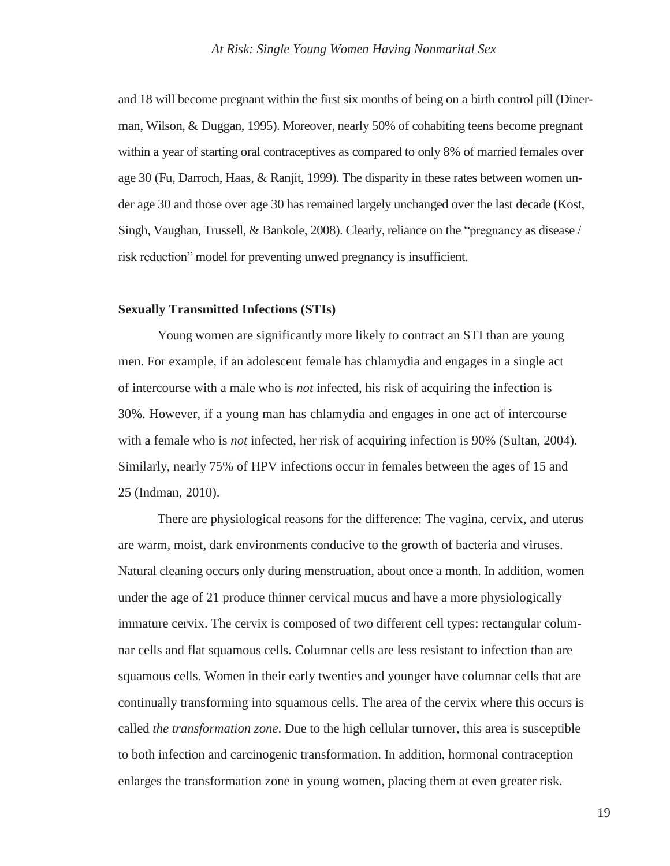and 18 will become pregnant within the first six months of being on a birth control pill (Dinerman, Wilson, & Duggan, 1995). Moreover, nearly 50% of cohabiting teens become pregnant within a year of starting oral contraceptives as compared to only 8% of married females over age 30 (Fu, Darroch, Haas, & Ranjit, 1999). The disparity in these rates between women under age 30 and those over age 30 has remained largely unchanged over the last decade (Kost, Singh, Vaughan, Trussell, & Bankole, 2008). Clearly, reliance on the "pregnancy as disease / risk reduction" model for preventing unwed pregnancy is insufficient.

#### **Sexually Transmitted Infections (STIs)**

Young women are significantly more likely to contract an STI than are young men. For example, if an adolescent female has chlamydia and engages in a single act of intercourse with a male who is *not* infected, his risk of acquiring the infection is 30%. However, if a young man has chlamydia and engages in one act of intercourse with a female who is *not* infected, her risk of acquiring infection is 90% (Sultan, 2004). Similarly, nearly 75% of HPV infections occur in females between the ages of 15 and 25 (Indman, 2010).

There are physiological reasons for the difference: The vagina, cervix, and uterus are warm, moist, dark environments conducive to the growth of bacteria and viruses. Natural cleaning occurs only during menstruation, about once a month. In addition, women under the age of 21 produce thinner cervical mucus and have a more physiologically immature cervix. The cervix is composed of two different cell types: rectangular columnar cells and flat squamous cells. Columnar cells are less resistant to infection than are squamous cells. Women in their early twenties and younger have columnar cells that are continually transforming into squamous cells. The area of the cervix where this occurs is called *the transformation zone*. Due to the high cellular turnover, this area is susceptible to both infection and carcinogenic transformation. In addition, hormonal contraception enlarges the transformation zone in young women, placing them at even greater risk.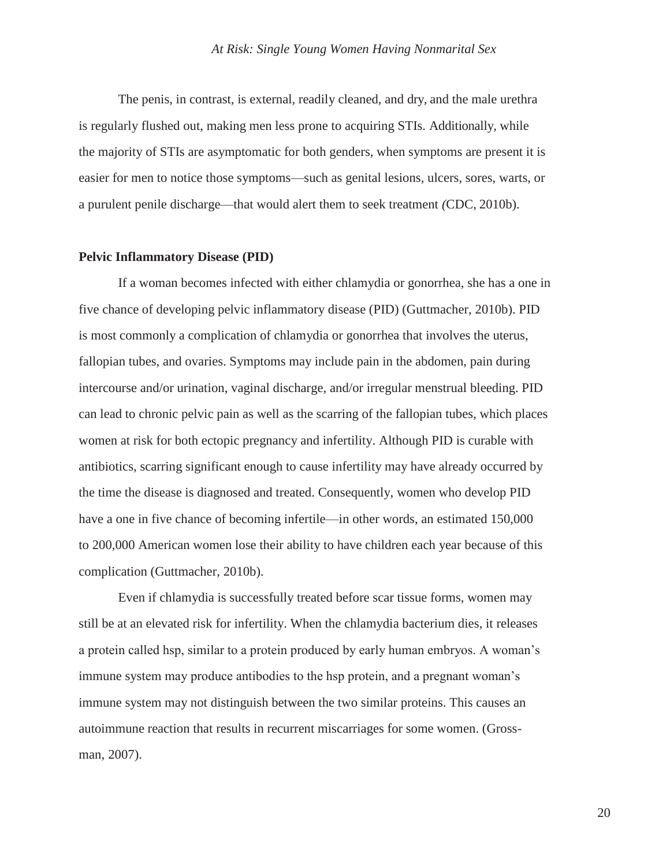The penis, in contrast, is external, readily cleaned, and dry, and the male urethra is regularly flushed out, making men less prone to acquiring STIs. Additionally, while the majority of STIs are asymptomatic for both genders, when symptoms are present it is easier for men to notice those symptoms—such as genital lesions, ulcers, sores, warts, or a purulent penile discharge—that would alert them to seek treatment *(*CDC, 2010b).

#### **Pelvic Inflammatory Disease (PID)**

If a woman becomes infected with either chlamydia or gonorrhea, she has a one in five chance of developing pelvic inflammatory disease (PID) (Guttmacher, 2010b). PID is most commonly a complication of chlamydia or gonorrhea that involves the uterus, fallopian tubes, and ovaries. Symptoms may include pain in the abdomen, pain during intercourse and/or urination, vaginal discharge, and/or irregular menstrual bleeding. PID can lead to chronic pelvic pain as well as the scarring of the fallopian tubes, which places women at risk for both ectopic pregnancy and infertility. Although PID is curable with antibiotics, scarring significant enough to cause infertility may have already occurred by the time the disease is diagnosed and treated. Consequently, women who develop PID have a one in five chance of becoming infertile—in other words, an estimated 150,000 to 200,000 American women lose their ability to have children each year because of this complication (Guttmacher, 2010b).

Even if chlamydia is successfully treated before scar tissue forms, women may still be at an elevated risk for infertility. When the chlamydia bacterium dies, it releases a protein called hsp, similar to a protein produced by early human embryos. A woman's immune system may produce antibodies to the hsp protein, and a pregnant woman's immune system may not distinguish between the two similar proteins. This causes an autoimmune reaction that results in recurrent miscarriages for some women. (Grossman, 2007).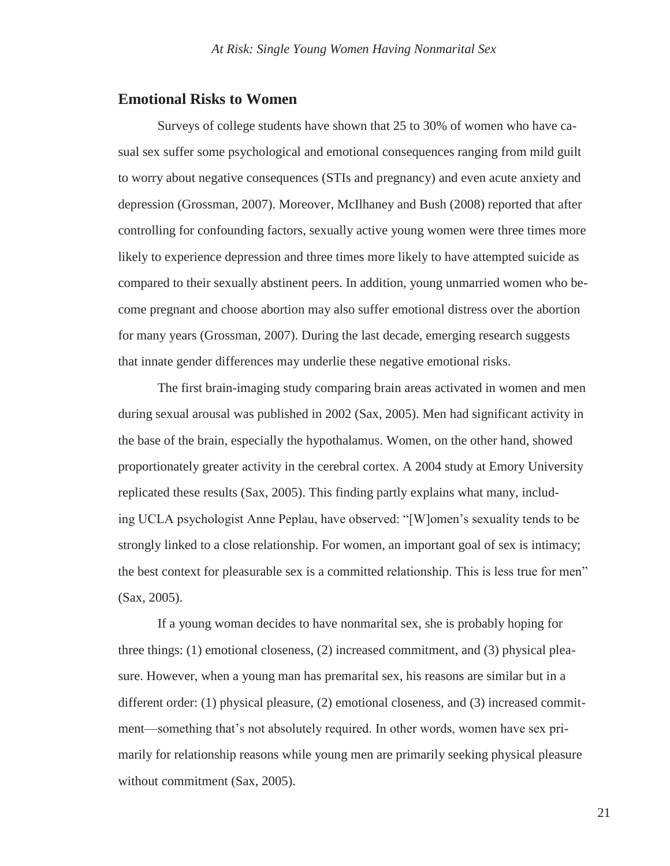### **Emotional Risks to Women**

Surveys of college students have shown that 25 to 30% of women who have casual sex suffer some psychological and emotional consequences ranging from mild guilt to worry about negative consequences (STIs and pregnancy) and even acute anxiety and depression (Grossman, 2007). Moreover, McIlhaney and Bush (2008) reported that after controlling for confounding factors, sexually active young women were three times more likely to experience depression and three times more likely to have attempted suicide as compared to their sexually abstinent peers. In addition, young unmarried women who become pregnant and choose abortion may also suffer emotional distress over the abortion for many years (Grossman, 2007). During the last decade, emerging research suggests that innate gender differences may underlie these negative emotional risks.

The first brain-imaging study comparing brain areas activated in women and men during sexual arousal was published in 2002 (Sax, 2005). Men had significant activity in the base of the brain, especially the hypothalamus. Women, on the other hand, showed proportionately greater activity in the cerebral cortex. A 2004 study at Emory University replicated these results (Sax, 2005). This finding partly explains what many, including UCLA psychologist Anne Peplau, have observed: "[W]omen's sexuality tends to be strongly linked to a close relationship. For women, an important goal of sex is intimacy; the best context for pleasurable sex is a committed relationship. This is less true for men" (Sax, 2005).

If a young woman decides to have nonmarital sex, she is probably hoping for three things: (1) emotional closeness, (2) increased commitment, and (3) physical pleasure. However, when a young man has premarital sex, his reasons are similar but in a different order: (1) physical pleasure, (2) emotional closeness, and (3) increased commitment—something that's not absolutely required. In other words, women have sex primarily for relationship reasons while young men are primarily seeking physical pleasure without commitment (Sax, 2005).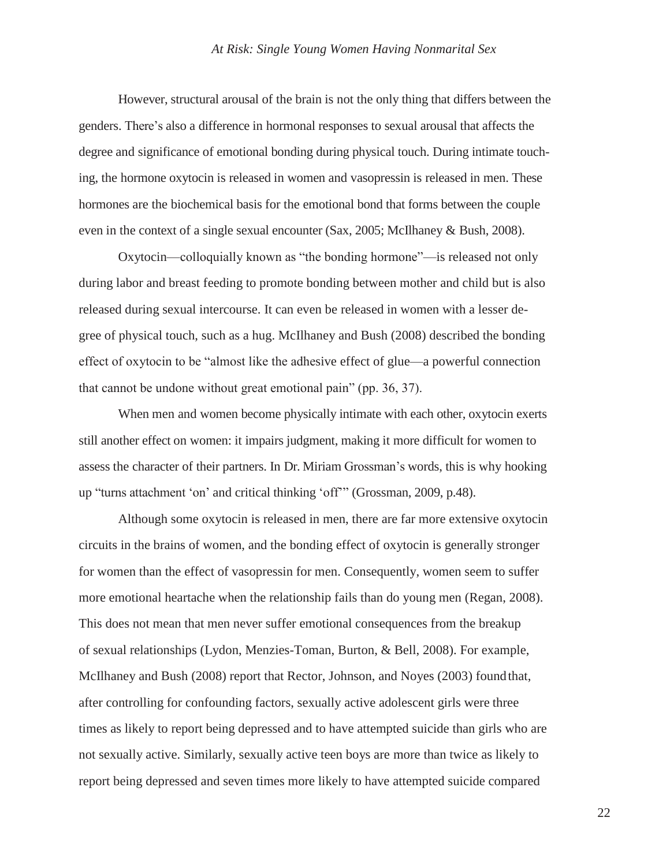However, structural arousal of the brain is not the only thing that differs between the genders. There's also a difference in hormonal responses to sexual arousal that affects the degree and significance of emotional bonding during physical touch. During intimate touching, the hormone oxytocin is released in women and vasopressin is released in men. These hormones are the biochemical basis for the emotional bond that forms between the couple even in the context of a single sexual encounter (Sax, 2005; McIlhaney & Bush, 2008).

Oxytocin—colloquially known as "the bonding hormone"—is released not only during labor and breast feeding to promote bonding between mother and child but is also released during sexual intercourse. It can even be released in women with a lesser degree of physical touch, such as a hug. McIlhaney and Bush (2008) described the bonding effect of oxytocin to be "almost like the adhesive effect of glue—a powerful connection that cannot be undone without great emotional pain" (pp. 36, 37).

When men and women become physically intimate with each other, oxytocin exerts still another effect on women: it impairs judgment, making it more difficult for women to assess the character of their partners. In Dr. Miriam Grossman's words, this is why hooking up "turns attachment 'on' and critical thinking 'off'" (Grossman, 2009, p.48).

Although some oxytocin is released in men, there are far more extensive oxytocin circuits in the brains of women, and the bonding effect of oxytocin is generally stronger for women than the effect of vasopressin for men. Consequently, women seem to suffer more emotional heartache when the relationship fails than do young men (Regan, 2008). This does not mean that men never suffer emotional consequences from the breakup of sexual relationships (Lydon, Menzies-Toman, Burton, & Bell, 2008). For example, McIlhaney and Bush (2008) report that Rector, Johnson, and Noyes (2003) foundthat, after controlling for confounding factors, sexually active adolescent girls were three times as likely to report being depressed and to have attempted suicide than girls who are not sexually active. Similarly, sexually active teen boys are more than twice as likely to report being depressed and seven times more likely to have attempted suicide compared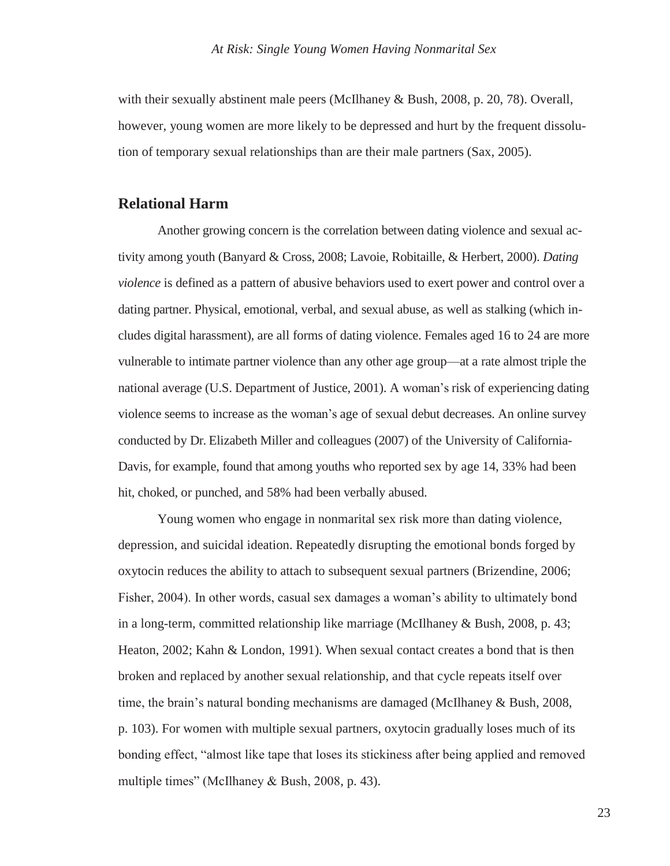with their sexually abstinent male peers (McIlhaney & Bush, 2008, p. 20, 78). Overall, however, young women are more likely to be depressed and hurt by the frequent dissolution of temporary sexual relationships than are their male partners (Sax, 2005).

## **Relational Harm**

Another growing concern is the correlation between dating violence and sexual activity among youth (Banyard & Cross, 2008; Lavoie, Robitaille, & Herbert, 2000). *Dating violence* is defined as a pattern of abusive behaviors used to exert power and control over a dating partner. Physical, emotional, verbal, and sexual abuse, as well as stalking (which includes digital harassment), are all forms of dating violence. Females aged 16 to 24 are more vulnerable to intimate partner violence than any other age group—at a rate almost triple the national average (U.S. Department of Justice, 2001). A woman's risk of experiencing dating violence seems to increase as the woman's age of sexual debut decreases. An online survey conducted by Dr. Elizabeth Miller and colleagues (2007) of the University of California-Davis, for example, found that among youths who reported sex by age 14, 33% had been hit, choked, or punched, and 58% had been verbally abused.

Young women who engage in nonmarital sex risk more than dating violence, depression, and suicidal ideation. Repeatedly disrupting the emotional bonds forged by oxytocin reduces the ability to attach to subsequent sexual partners (Brizendine, 2006; Fisher, 2004). In other words, casual sex damages a woman's ability to ultimately bond in a long-term, committed relationship like marriage (McIlhaney & Bush, 2008, p. 43; Heaton, 2002; Kahn & London, 1991). When sexual contact creates a bond that is then broken and replaced by another sexual relationship, and that cycle repeats itself over time, the brain's natural bonding mechanisms are damaged (McIlhaney & Bush, 2008, p. 103). For women with multiple sexual partners, oxytocin gradually loses much of its bonding effect, "almost like tape that loses its stickiness after being applied and removed multiple times" (McIlhaney & Bush, 2008, p. 43).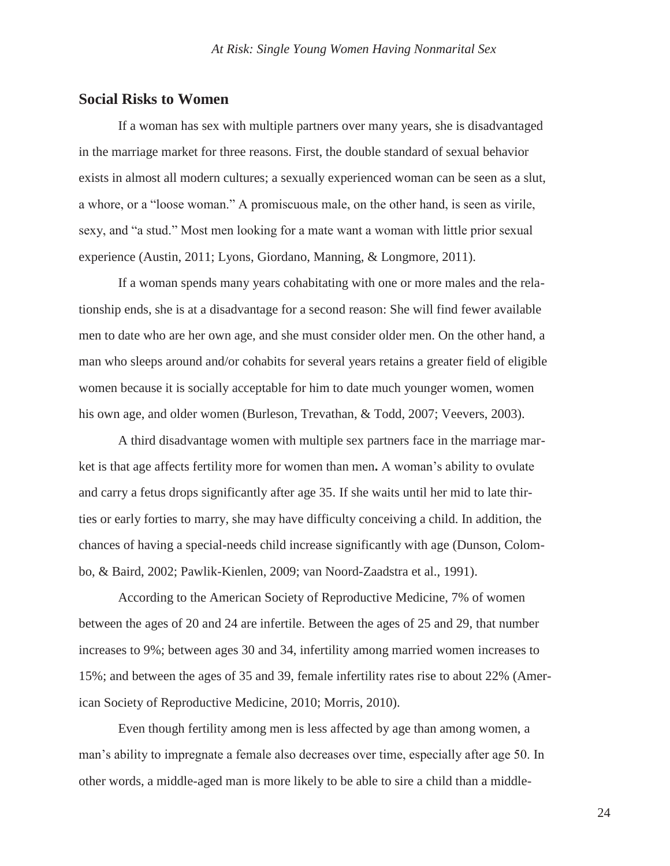### **Social Risks to Women**

If a woman has sex with multiple partners over many years, she is disadvantaged in the marriage market for three reasons. First, the double standard of sexual behavior exists in almost all modern cultures; a sexually experienced woman can be seen as a slut, a whore, or a "loose woman." A promiscuous male, on the other hand, is seen as virile, sexy, and "a stud." Most men looking for a mate want a woman with little prior sexual experience (Austin, 2011; Lyons, Giordano, Manning, & Longmore, 2011).

If a woman spends many years cohabitating with one or more males and the relationship ends, she is at a disadvantage for a second reason: She will find fewer available men to date who are her own age, and she must consider older men. On the other hand, a man who sleeps around and/or cohabits for several years retains a greater field of eligible women because it is socially acceptable for him to date much younger women, women his own age, and older women (Burleson, Trevathan, & Todd, 2007; Veevers, 2003).

A third disadvantage women with multiple sex partners face in the marriage market is that age affects fertility more for women than men**.** A woman's ability to ovulate and carry a fetus drops significantly after age 35. If she waits until her mid to late thirties or early forties to marry, she may have difficulty conceiving a child. In addition, the chances of having a special-needs child increase significantly with age (Dunson, Colombo, & Baird, 2002; Pawlik-Kienlen, 2009; van Noord-Zaadstra et al., 1991).

According to the American Society of Reproductive Medicine, 7% of women between the ages of 20 and 24 are infertile. Between the ages of 25 and 29, that number increases to 9%; between ages 30 and 34, infertility among married women increases to 15%; and between the ages of 35 and 39, female infertility rates rise to about 22% (American Society of Reproductive Medicine, 2010; Morris, 2010).

Even though fertility among men is less affected by age than among women, a man's ability to impregnate a female also decreases over time, especially after age 50. In other words, a middle-aged man is more likely to be able to sire a child than a middle-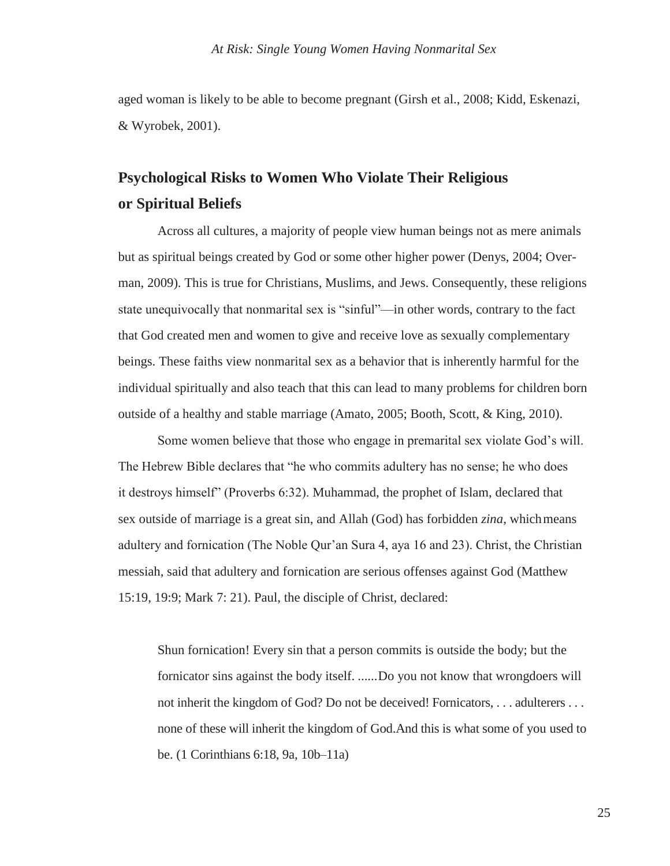aged woman is likely to be able to become pregnant (Girsh et al., 2008; Kidd, Eskenazi, & Wyrobek, 2001).

# **Psychological Risks to Women Who Violate Their Religious or Spiritual Beliefs**

Across all cultures, a majority of people view human beings not as mere animals but as spiritual beings created by God or some other higher power (Denys, 2004; Overman, 2009). This is true for Christians, Muslims, and Jews. Consequently, these religions state unequivocally that nonmarital sex is "sinful"—in other words, contrary to the fact that God created men and women to give and receive love as sexually complementary beings. These faiths view nonmarital sex as a behavior that is inherently harmful for the individual spiritually and also teach that this can lead to many problems for children born outside of a healthy and stable marriage (Amato, 2005; Booth, Scott, & King, 2010).

Some women believe that those who engage in premarital sex violate God's will. The Hebrew Bible declares that "he who commits adultery has no sense; he who does it destroys himself" (Proverbs 6:32). Muhammad, the prophet of Islam, declared that sex outside of marriage is a great sin, and Allah (God) has forbidden *zina*, whichmeans adultery and fornication (The Noble Qur'an Sura 4, aya 16 and 23). Christ, the Christian messiah, said that adultery and fornication are serious offenses against God (Matthew 15:19, 19:9; Mark 7: 21). Paul, the disciple of Christ, declared:

Shun fornication! Every sin that a person commits is outside the body; but the fornicator sins against the body itself. ......Do you not know that wrongdoers will not inherit the kingdom of God? Do not be deceived! Fornicators, . . . adulterers . . . none of these will inherit the kingdom of God.And this is what some of you used to be. (1 Corinthians 6:18, 9a, 10b–11a)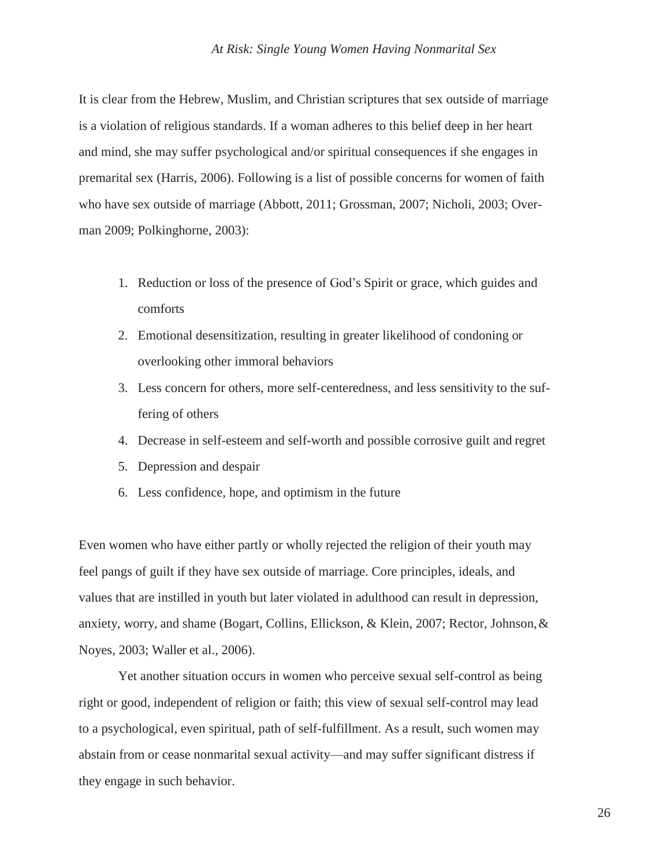It is clear from the Hebrew, Muslim, and Christian scriptures that sex outside of marriage is a violation of religious standards. If a woman adheres to this belief deep in her heart and mind, she may suffer psychological and/or spiritual consequences if she engages in premarital sex (Harris, 2006). Following is a list of possible concerns for women of faith who have sex outside of marriage (Abbott, 2011; Grossman, 2007; Nicholi, 2003; Overman 2009; Polkinghorne, 2003):

- 1. Reduction or loss of the presence of God's Spirit or grace, which guides and comforts
- 2. Emotional desensitization, resulting in greater likelihood of condoning or overlooking other immoral behaviors
- 3. Less concern for others, more self-centeredness, and less sensitivity to the suffering of others
- 4. Decrease in self-esteem and self-worth and possible corrosive guilt and regret
- 5. Depression and despair
- 6. Less confidence, hope, and optimism in the future

Even women who have either partly or wholly rejected the religion of their youth may feel pangs of guilt if they have sex outside of marriage. Core principles, ideals, and values that are instilled in youth but later violated in adulthood can result in depression, anxiety, worry, and shame (Bogart, Collins, Ellickson, & Klein, 2007; Rector, Johnson,& Noyes, 2003; Waller et al., 2006).

Yet another situation occurs in women who perceive sexual self-control as being right or good, independent of religion or faith; this view of sexual self-control may lead to a psychological, even spiritual, path of self-fulfillment. As a result, such women may abstain from or cease nonmarital sexual activity—and may suffer significant distress if they engage in such behavior.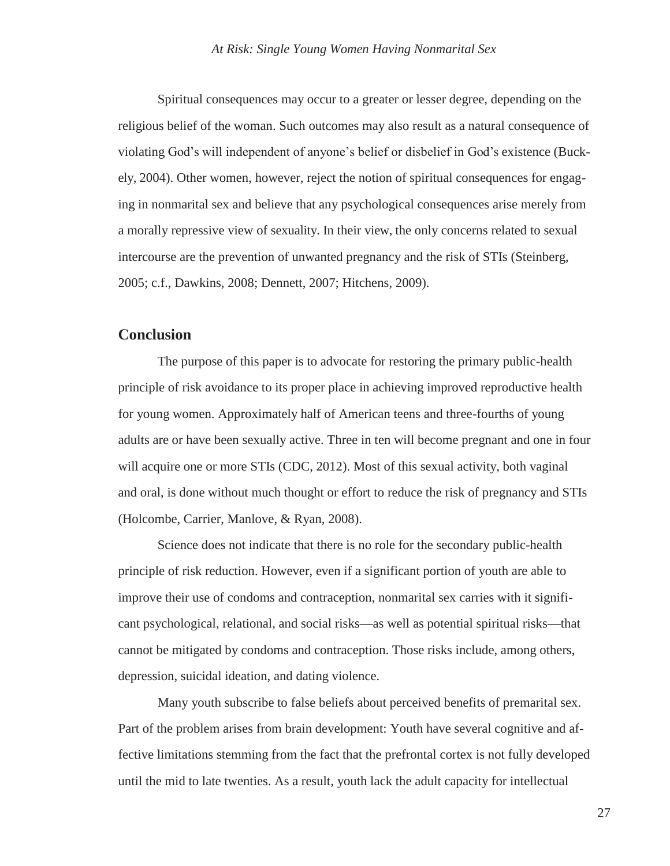Spiritual consequences may occur to a greater or lesser degree, depending on the religious belief of the woman. Such outcomes may also result as a natural consequence of violating God's will independent of anyone's belief or disbelief in God's existence (Buckely, 2004). Other women, however, reject the notion of spiritual consequences for engaging in nonmarital sex and believe that any psychological consequences arise merely from a morally repressive view of sexuality. In their view, the only concerns related to sexual intercourse are the prevention of unwanted pregnancy and the risk of STIs (Steinberg, 2005; c.f., Dawkins, 2008; Dennett, 2007; Hitchens, 2009).

## **Conclusion**

The purpose of this paper is to advocate for restoring the primary public-health principle of risk avoidance to its proper place in achieving improved reproductive health for young women. Approximately half of American teens and three-fourths of young adults are or have been sexually active. Three in ten will become pregnant and one in four will acquire one or more STIs (CDC, 2012). Most of this sexual activity, both vaginal and oral, is done without much thought or effort to reduce the risk of pregnancy and STIs (Holcombe, Carrier, Manlove, & Ryan, 2008).

Science does not indicate that there is no role for the secondary public-health principle of risk reduction. However, even if a significant portion of youth are able to improve their use of condoms and contraception, nonmarital sex carries with it significant psychological, relational, and social risks—as well as potential spiritual risks—that cannot be mitigated by condoms and contraception. Those risks include, among others, depression, suicidal ideation, and dating violence.

Many youth subscribe to false beliefs about perceived benefits of premarital sex. Part of the problem arises from brain development: Youth have several cognitive and affective limitations stemming from the fact that the prefrontal cortex is not fully developed until the mid to late twenties. As a result, youth lack the adult capacity for intellectual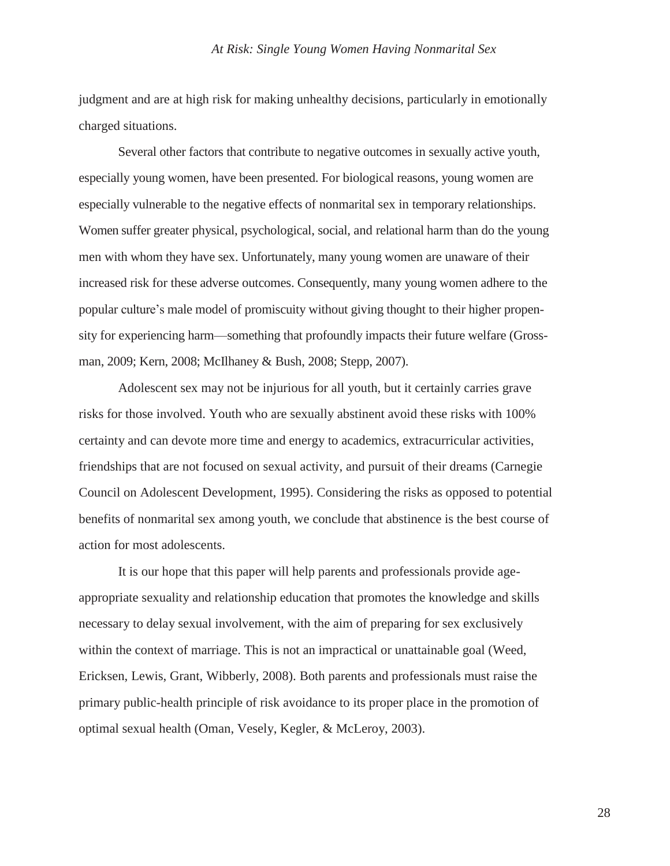judgment and are at high risk for making unhealthy decisions, particularly in emotionally charged situations.

Several other factors that contribute to negative outcomes in sexually active youth, especially young women, have been presented. For biological reasons, young women are especially vulnerable to the negative effects of nonmarital sex in temporary relationships. Women suffer greater physical, psychological, social, and relational harm than do the young men with whom they have sex. Unfortunately, many young women are unaware of their increased risk for these adverse outcomes. Consequently, many young women adhere to the popular culture's male model of promiscuity without giving thought to their higher propensity for experiencing harm—something that profoundly impacts their future welfare (Grossman, 2009; Kern, 2008; McIlhaney & Bush, 2008; Stepp, 2007).

Adolescent sex may not be injurious for all youth, but it certainly carries grave risks for those involved. Youth who are sexually abstinent avoid these risks with 100% certainty and can devote more time and energy to academics, extracurricular activities, friendships that are not focused on sexual activity, and pursuit of their dreams (Carnegie Council on Adolescent Development, 1995). Considering the risks as opposed to potential benefits of nonmarital sex among youth, we conclude that abstinence is the best course of action for most adolescents.

It is our hope that this paper will help parents and professionals provide ageappropriate sexuality and relationship education that promotes the knowledge and skills necessary to delay sexual involvement, with the aim of preparing for sex exclusively within the context of marriage. This is not an impractical or unattainable goal (Weed, Ericksen, Lewis, Grant, Wibberly, 2008). Both parents and professionals must raise the primary public-health principle of risk avoidance to its proper place in the promotion of optimal sexual health (Oman, Vesely, Kegler, & McLeroy, 2003).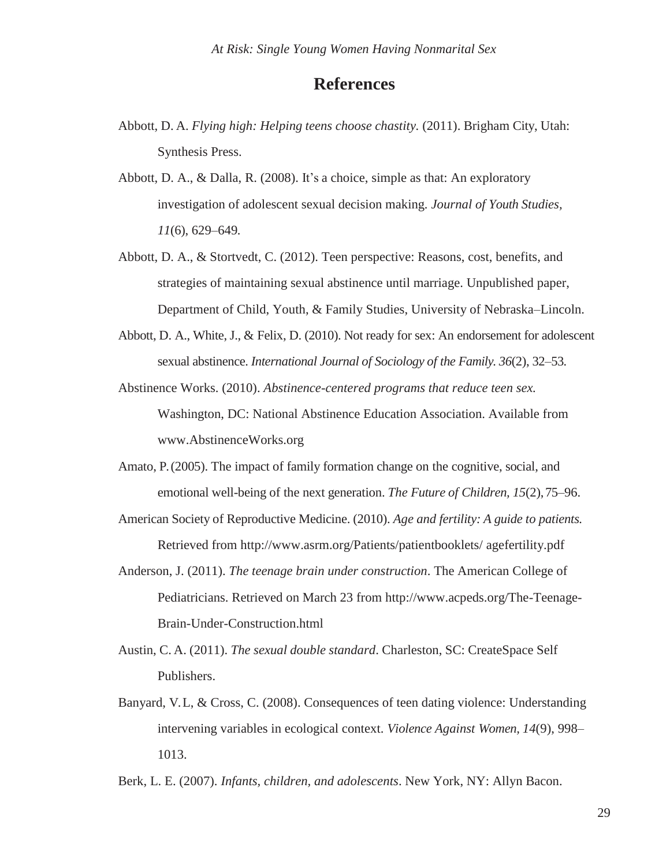# **References**

- Abbott, D. A. *Flying high: Helping teens choose chastity.* (2011). Brigham City, Utah: Synthesis Press.
- Abbott, D. A., & Dalla, R. (2008). It's a choice, simple as that: An exploratory investigation of adolescent sexual decision making*. Journal of Youth Studies, 11*(6), 629–649*.*
- Abbott, D. A., & Stortvedt, C. (2012). Teen perspective: Reasons, cost, benefits, and strategies of maintaining sexual abstinence until marriage. Unpublished paper, Department of Child, Youth, & Family Studies, University of Nebraska–Lincoln.
- Abbott, D. A., White, J., & Felix, D. (2010). Not ready for sex: An endorsement for adolescent sexual abstinence. *International Journal of Sociology of the Family. 36*(2), 32–53*.*
- Abstinence Works. (2010). *Abstinence-centered programs that reduce teen sex.* Washington, DC: National Abstinence Education Association. Available from [www.AbstinenceWorks.org](http://www.abstinenceworks.org/)
- Amato, P. (2005). The impact of family formation change on the cognitive, social, and emotional well-being of the next generation. *The Future of Children, 15*(2),75–96.
- American Society of Reproductive Medicine. (2010). *Age and fertility: A guide to patients.* Retrieved from [http://www.asrm.org/Patients/patientbooklets/ a](http://www.asrm.org/Patients/patientbooklets/)gefertility.pdf
- Anderson, J. (2011). *The teenage brain under construction*. The American College of Pediatricians. Retrieved on March 23 from<http://www.acpeds.org/The-Teenage->Brain-Under-Construction.html
- Austin, C. A. (2011). *The sexual double standard*. Charleston, SC: CreateSpace Self Publishers.
- Banyard, V. L, & Cross, C. (2008). Consequences of teen dating violence: Understanding intervening variables in ecological context. *Violence Against Women, 14*(9), 998– 1013.

Berk, L. E. (2007). *Infants, children, and adolescents*. New York, NY: Allyn Bacon.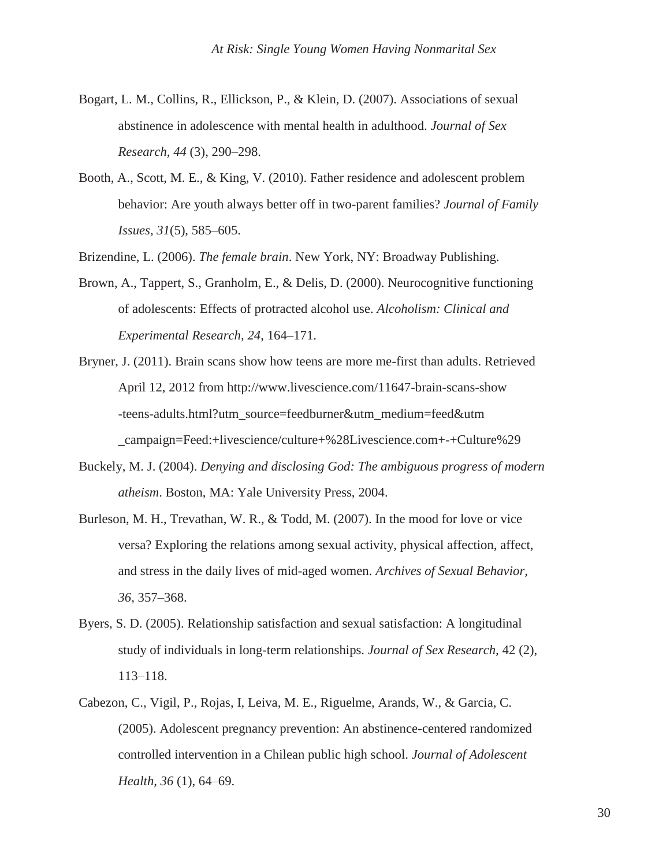- Bogart, L. M., Collins, R., Ellickson, P., & Klein, D. (2007). Associations of sexual abstinence in adolescence with mental health in adulthood. *Journal of Sex Research, 44* (3), 290–298.
- Booth, A., Scott, M. E., & King, V. (2010). Father residence and adolescent problem behavior: Are youth always better off in two-parent families? *Journal of Family Issues, 31*(5), 585–605.

Brizendine, L. (2006). *The female brain*. New York, NY: Broadway Publishing.

- Brown, A., Tappert, S., Granholm, E., & Delis, D. (2000). Neurocognitive functioning of adolescents: Effects of protracted alcohol use. *Alcoholism: Clinical and Experimental Research, 24*, 164–171.
- Bryner, J. (2011). Brain scans show how teens are more me-first than adults. Retrieved April 12, 2012 from<http://www.livescience.com/11647-brain-scans-show> -teens-adults.html?utm\_source=feedburner&utm\_medium=feed&utm \_campaign=Feed:+livescience/culture+%28Livescience.com+-+Culture%29
- Buckely, M. J. (2004). *Denying and disclosing God: The ambiguous progress of modern atheism*. Boston, MA: Yale University Press, 2004.
- Burleson, M. H., Trevathan, W. R., & Todd, M. (2007). In the mood for love or vice versa? Exploring the relations among sexual activity, physical affection, affect, and stress in the daily lives of mid-aged women. *Archives of Sexual Behavior, 36,* 357–368.
- Byers, S. D. (2005). Relationship satisfaction and sexual satisfaction: A longitudinal study of individuals in long-term relationships. *Journal of Sex Research,* 42 (2), 113–118.
- Cabezon, C., Vigil, P., Rojas, I, Leiva, M. E., Riguelme, Arands, W., & Garcia, C. (2005). Adolescent pregnancy prevention: An abstinence-centered randomized controlled intervention in a Chilean public high school. *Journal of Adolescent Health, 36* (1), 64–69.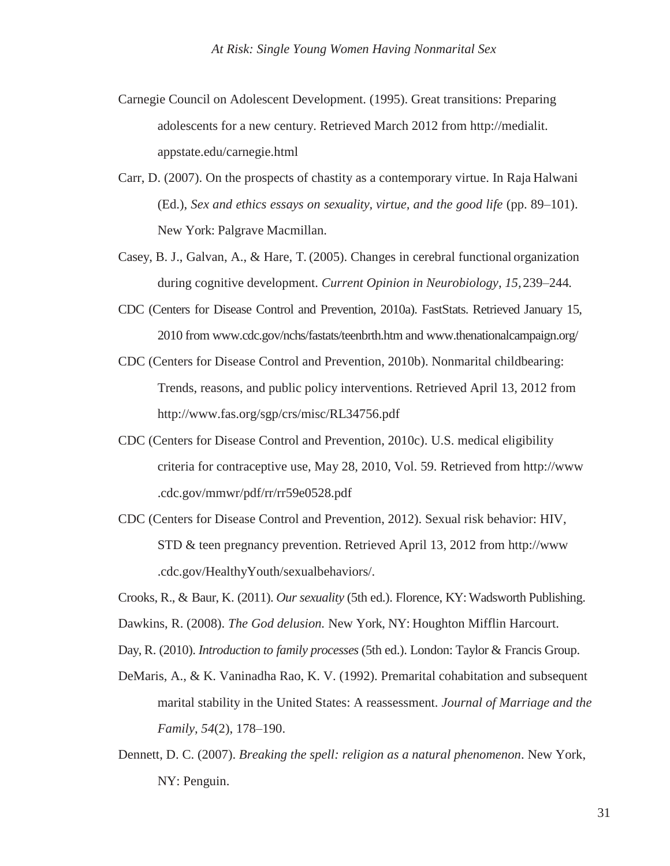- Carnegie Council on Adolescent Development. (1995). Great transitions: Preparing adolescents for a new century. Retrieved March 2012 from [http://medialit.](http://medialit/) appstate.edu/carnegie.html
- Carr, D. (2007). On the prospects of chastity as a contemporary virtue. In Raja Halwani (Ed.), *Sex and ethics essays on sexuality, virtue, and the good life* (pp. 89–101). New York: Palgrave Macmillan.
- Casey, B. J., Galvan, A., & Hare, T. (2005). Changes in cerebral functional organization during cognitive development. *Current Opinion in Neurobiology, 15,*239–244*.*
- CDC (Centers for Disease Control and Prevention, 2010a). FastStats. Retrieved January 15, 2010 from [www.cdc.gov/nchs/fastats/teenbrth.htm a](http://www.cdc.gov/nchs/fastats/teenbrth.htm)n[d www.thenationalcampaign.org/](http://www.thenationalcampaign.org/)
- CDC (Centers for Disease Control and Prevention, 2010b). Nonmarital childbearing: Trends, reasons, and public policy interventions. Retrieved April 13, 2012 from <http://www.fas.org/sgp/crs/misc/RL34756.pdf>
- CDC (Centers for Disease Control and Prevention, 2010c). U.S. medical eligibility criteria for contraceptive use, May 28, 2010, Vol. 59*.* Retrieved from [http://www](http://www/) .cdc.gov/mmwr/pdf/rr/rr59e0528.pdf
- CDC (Centers for Disease Control and Prevention, 2012). Sexual risk behavior: HIV, STD & teen pregnancy prevention. Retrieved April 13, 2012 from [http://www](http://www/) .cdc.gov/HealthyYouth/sexualbehaviors/.

Crooks, R., & Baur, K. (2011). *Our sexuality* (5th ed.). Florence, KY: Wadsworth Publishing.

Dawkins, R. (2008). *The God delusion.* New York, NY: Houghton Mifflin Harcourt.

Day, R. (2010). *Introduction to family processes* (5th ed.). London: Taylor & Francis Group.

- DeMaris, A., & K. Vaninadha Rao, K. V. (1992). Premarital cohabitation and subsequent marital stability in the United States: A reassessment. *Journal of Marriage and the Family, 54*(2), 178–190.
- Dennett, D. C. (2007). *Breaking the spell: religion as a natural phenomenon*. New York, NY: Penguin.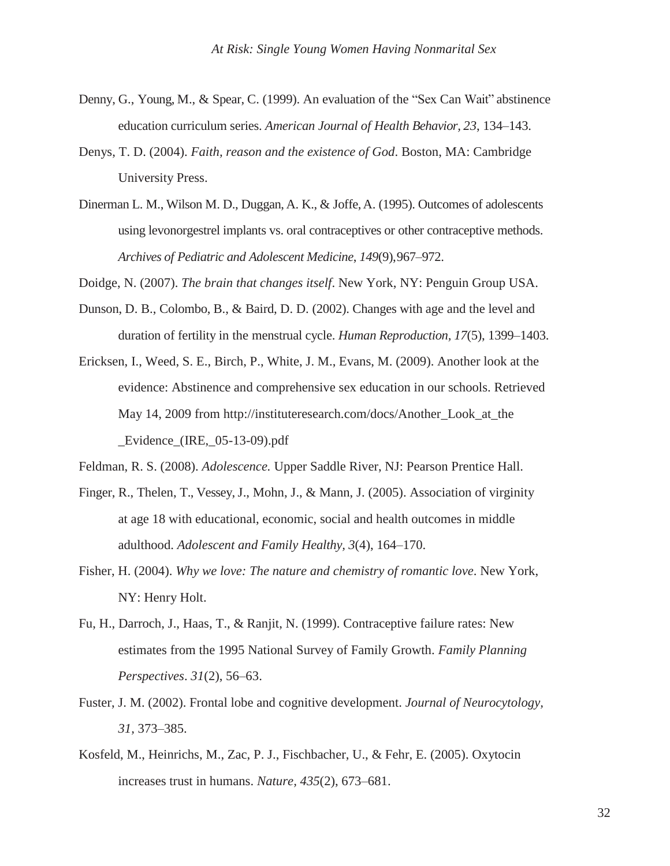- Denny, G., Young, M., & Spear, C. (1999). An evaluation of the "Sex Can Wait" abstinence education curriculum series. *American Journal of Health Behavior, 23*, 134–143.
- Denys, T. D. (2004). *Faith, reason and the existence of God*. Boston, MA: Cambridge University Press.
- Dinerman L. M., Wilson M. D., Duggan, A. K., & Joffe,A. (1995). Outcomes of adolescents using levonorgestrel implants vs. oral contraceptives or other contraceptive methods. *Archives of Pediatric and Adolescent Medicine*, *149*(9),967–972.

Doidge, N. (2007). *The brain that changes itself*. New York, NY: Penguin Group USA.

- Dunson, D. B., Colombo, B., & Baird, D. D. (2002). Changes with age and the level and duration of fertility in the menstrual cycle. *Human Reproduction, 17*(5), 1399–1403.
- Ericksen, I., Weed, S. E., Birch, P., White, J. M., Evans, M. (2009). Another look at the evidence: Abstinence and comprehensive sex education in our schools. Retrieved May 14, 2009 from [http://instituteresearch.com/docs/Another\\_Look\\_at\\_the](http://instituteresearch.com/docs/Another_Look_at_the) Evidence (IRE,  $05-13-09$ ).pdf

Feldman, R. S. (2008). *Adolescence.* Upper Saddle River, NJ: Pearson Prentice Hall.

- Finger, R., Thelen, T., Vessey, J., Mohn, J., & Mann, J. (2005). Association of virginity at age 18 with educational, economic, social and health outcomes in middle adulthood. *Adolescent and Family Healthy, 3*(4), 164–170.
- Fisher, H. (2004). *Why we love: The nature and chemistry of romantic love*. New York, NY: Henry Holt.
- Fu, H., Darroch, J., Haas, T., & Ranjit, N. (1999). Contraceptive failure rates: New estimates from the 1995 National Survey of Family Growth. *Family Planning Perspectives*. *31*(2), 56–63.
- Fuster, J. M. (2002). Frontal lobe and cognitive development. *Journal of Neurocytology, 31,* 373–385.
- Kosfeld, M., Heinrichs, M., Zac, P. J., Fischbacher, U., & Fehr, E. (2005). Oxytocin increases trust in humans. *Nature, 435*(2), 673–681.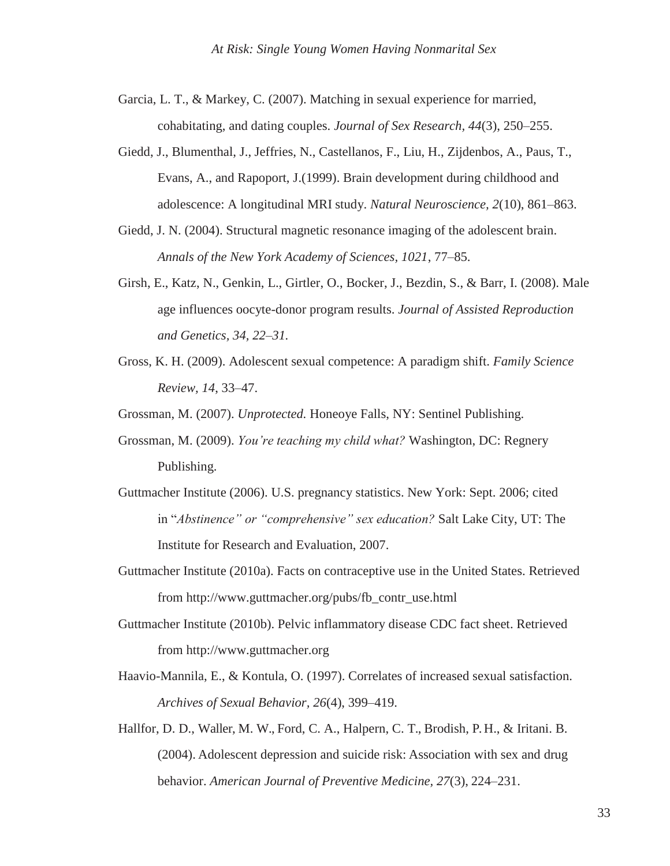Garcia, L. T., & Markey, C. (2007). Matching in sexual experience for married, cohabitating, and dating couples. *Journal of Sex Research, 44*(3), 250–255.

- Giedd, J., Blumenthal, J., Jeffries, N., Castellanos, F., Liu, H., Zijdenbos, A., Paus, T., Evans, A., and Rapoport, J.(1999). Brain development during childhood and adolescence: A longitudinal MRI study. *Natural Neuroscience, 2*(10), 861–863.
- Giedd, J. N. (2004). Structural magnetic resonance imaging of the adolescent brain. *Annals of the New York Academy of Sciences, 1021*, 77–85.
- Girsh, E., Katz, N., Genkin, L., Girtler, O., Bocker, J., Bezdin, S., & Barr, I. (2008). Male age influences oocyte-donor program results. *Journal of Assisted Reproduction and Genetics, 34, 22–31.*
- Gross, K. H. (2009). Adolescent sexual competence: A paradigm shift. *Family Science Review, 14*, 33–47.

Grossman, M. (2007). *Unprotected.* Honeoye Falls, NY: Sentinel Publishing.

- Grossman, M. (2009). *You're teaching my child what?* Washington, DC: Regnery Publishing.
- Guttmacher Institute (2006). U.S. pregnancy statistics. New York: Sept. 2006; cited in "*Abstinence" or "comprehensive" sex education?* Salt Lake City, UT: The Institute for Research and Evaluation, 2007.
- Guttmacher Institute (2010a). Facts on contraceptive use in the United States. Retrieved from [http://www.guttmacher.org/pubs/fb\\_contr\\_use.html](http://www.guttmacher.org/pubs/fb_contr_use.html)
- Guttmacher Institute (2010b). Pelvic inflammatory disease CDC fact sheet. Retrieved from [http://www.guttmacher.org](http://www.guttmacher.org/)
- Haavio-Mannila, E., & Kontula, O. (1997). Correlates of increased sexual satisfaction. *Archives of Sexual Behavior, 26*(4), 399–419.
- Hallfor, D. D., Waller, M. W., Ford, C. A., Halpern, C. T., Brodish, P. H., & Iritani. B. (2004). Adolescent depression and suicide risk: Association with sex and drug behavior. *American Journal of Preventive Medicine, 27*(3), 224–231.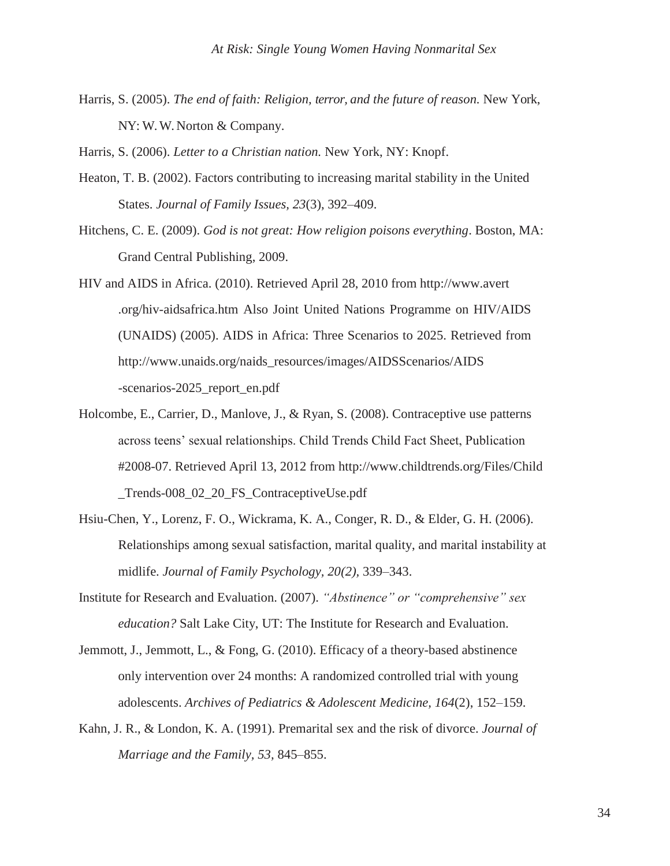Harris, S. (2005). *The end of faith: Religion, terror, and the future of reason.* New York, NY: W. W. Norton & Company.

Harris, S. (2006). *Letter to a Christian nation.* New York, NY: Knopf.

- Heaton, T. B. (2002). Factors contributing to increasing marital stability in the United States. *Journal of Family Issues, 23*(3), 392–409.
- Hitchens, C. E. (2009). *God is not great: How religion poisons everything*. Boston, MA: Grand Central Publishing, 2009.
- HIV and AIDS in Africa. (2010). Retrieved April 28, 2010 from http://www.avert .org/hiv-aidsafrica.htm Also Joint United Nations Programme on HIV/AIDS (UNAIDS) (2005). AIDS in Africa: Three Scenarios to 2025. Retrieved from [http://www.unaids.org/naids\\_resources/images/AIDSScenarios/AIDS](http://www.unaids.org/naids_resources/images/AIDSScenarios/AIDS) -scenarios-2025\_report\_en.pdf
- Holcombe, E., Carrier, D., Manlove, J., & Ryan, S. (2008). Contraceptive use patterns across teens' sexual relationships. Child Trends Child Fact Sheet, Publication #2008-07. Retrieved April 13, 2012 from<http://www.childtrends.org/Files/Child> \_Trends-008\_02\_20\_FS\_ContraceptiveUse.pdf
- Hsiu-Chen, Y., Lorenz, F. O., Wickrama, K. A., Conger, R. D., & Elder, G. H. (2006). Relationships among sexual satisfaction, marital quality, and marital instability at midlife. *Journal of Family Psychology, 20(2),* 339–343.
- Institute for Research and Evaluation. (2007). *"Abstinence" or "comprehensive" sex education?* Salt Lake City, UT: The Institute for Research and Evaluation.
- Jemmott, J., Jemmott, L., & Fong, G. (2010). Efficacy of a theory-based abstinence only intervention over 24 months: A randomized controlled trial with young adolescents. *Archives of Pediatrics & Adolescent Medicine, 164*(2), 152–159.
- Kahn, J. R., & London, K. A. (1991). Premarital sex and the risk of divorce. *Journal of Marriage and the Family, 53,* 845–855.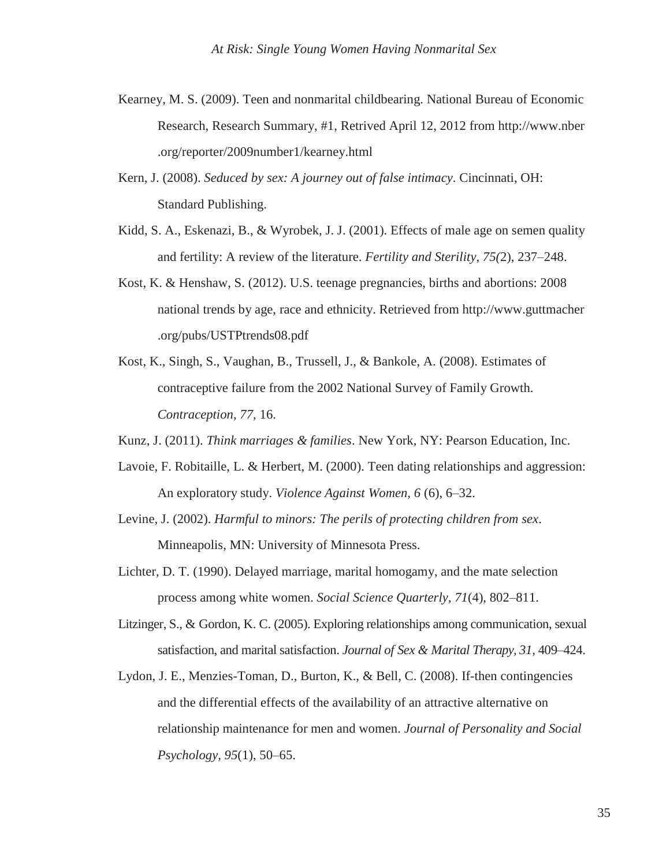- Kearney, M. S. (2009). Teen and nonmarital childbearing. National Bureau of Economic Research, Research Summary, #1, Retrived April 12, 2012 from http://www.nber .org/reporter/2009number1/kearney.html
- Kern, J. (2008). *Seduced by sex: A journey out of false intimacy*. Cincinnati, OH: Standard Publishing.
- Kidd, S. A., Eskenazi, B., & Wyrobek, J. J. (2001). Effects of male age on semen quality and fertility: A review of the literature. *Fertility and Sterility, 75(*2), 237–248.
- Kost, K. & Henshaw, S. (2012). U.S. teenage pregnancies, births and abortions: 2008 national trends by age, race and ethnicity. Retrieved from http://www.guttmacher .org/pubs/USTPtrends08.pdf
- Kost, K., Singh, S., Vaughan, B., Trussell, J., & Bankole, A. (2008). Estimates of contraceptive failure from the 2002 National Survey of Family Growth. *Contraception, 77,* 16.

Kunz, J. (2011). *Think marriages & families*. New York, NY: Pearson Education, Inc.

- Lavoie, F. Robitaille, L. & Herbert, M. (2000). Teen dating relationships and aggression: An exploratory study. *Violence Against Women, 6* (6), 6–32.
- Levine, J. (2002). *Harmful to minors: The perils of protecting children from sex*. Minneapolis, MN: University of Minnesota Press.
- Lichter, D. T. (1990). Delayed marriage, marital homogamy, and the mate selection process among white women. *Social Science Quarterly, 71*(4), 802–811.
- Litzinger, S., & Gordon, K. C. (2005). Exploring relationships among communication, sexual satisfaction, and marital satisfaction. *Journal of Sex & Marital Therapy, 31,* 409–424.
- Lydon, J. E., Menzies-Toman, D., Burton, K., & Bell, C. (2008). If-then contingencies and the differential effects of the availability of an attractive alternative on relationship maintenance for men and women. *Journal of Personality and Social Psychology, 95*(1), 50–65.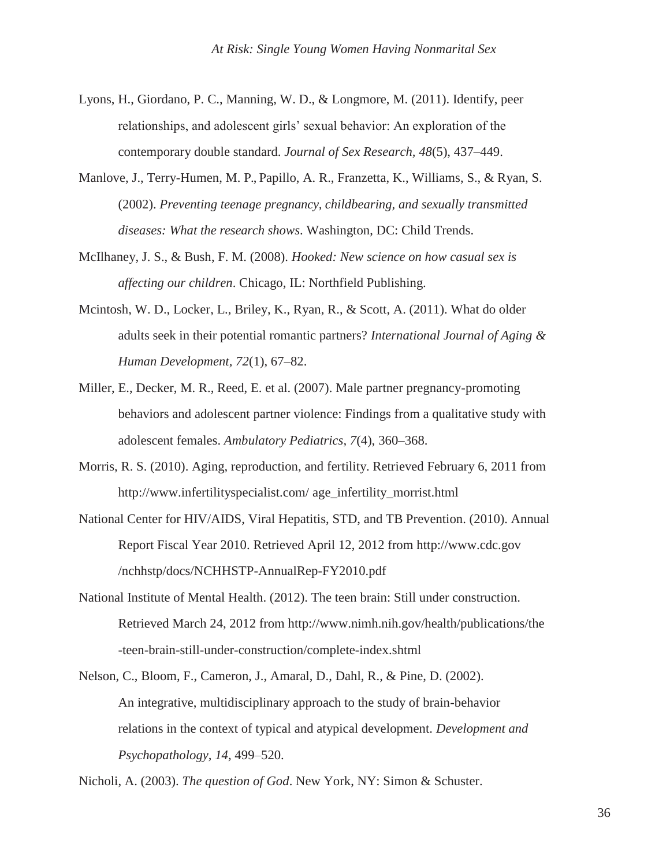- Lyons, H., Giordano, P. C., Manning, W. D., & Longmore, M. (2011). Identify, peer relationships, and adolescent girls' sexual behavior: An exploration of the contemporary double standard. *Journal of Sex Research, 48*(5), 437–449.
- Manlove, J., Terry-Humen, M. P., Papillo, A. R., Franzetta, K., Williams, S., & Ryan, S. (2002). *Preventing teenage pregnancy, childbearing, and sexually transmitted diseases: What the research shows*. Washington, DC: Child Trends.
- McIlhaney, J. S., & Bush, F. M. (2008). *Hooked: New science on how casual sex is affecting our children*. Chicago, IL: Northfield Publishing.
- Mcintosh, W. D., Locker, L., Briley, K., Ryan, R., & Scott, A. (2011). What do older adults seek in their potential romantic partners? *International Journal of Aging & Human Development, 72*(1), 67–82.
- Miller, E., Decker, M. R., Reed, E. et al. (2007). Male partner pregnancy-promoting behaviors and adolescent partner violence: Findings from a qualitative study with adolescent females. *Ambulatory Pediatrics, 7*(4), 360–368.
- Morris, R. S. (2010). Aging, reproduction, and fertility. Retrieved February 6, 2011 from <http://www.infertilityspecialist.com/> age\_infertility\_morrist.html
- National Center for HIV/AIDS, Viral Hepatitis, STD, and TB Prevention. (2010). Annual Report Fiscal Year 2010. Retrieved April 12, 2012 from [http://www.cdc.gov](http://www.cdc.gov/) /nchhstp/docs/NCHHSTP-AnnualRep-FY2010.pdf
- National Institute of Mental Health. (2012). The teen brain: Still under construction. Retrieved March 24, 2012 from<http://www.nimh.nih.gov/health/publications/the> -teen-brain-still-under-construction/complete-index.shtml
- Nelson, C., Bloom, F., Cameron, J., Amaral, D., Dahl, R., & Pine, D. (2002). An integrative, multidisciplinary approach to the study of brain-behavior relations in the context of typical and atypical development. *Development and Psychopathology, 14,* 499–520.

Nicholi, A. (2003). *The question of God*. New York, NY: Simon & Schuster.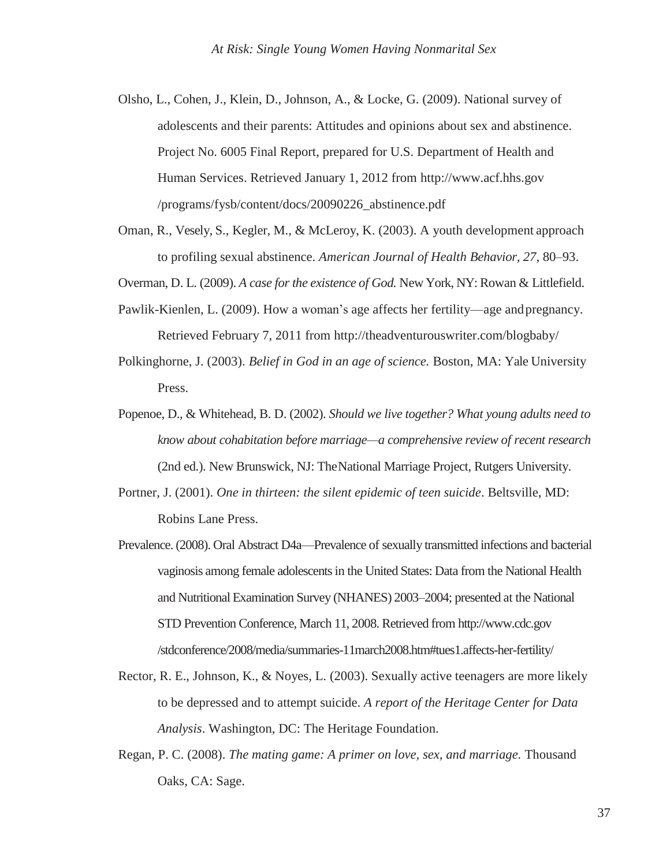- Olsho, L., Cohen, J., Klein, D., Johnson, A., & Locke, G. (2009). National survey of adolescents and their parents: Attitudes and opinions about sex and abstinence. Project No. 6005 Final Report, prepared for U.S. Department of Health and Human Services. Retrieved January 1, 2012 from [http://www.acf.hhs.gov](http://www.acf.hhs.gov/) /programs/fysb/content/docs/20090226\_abstinence.pdf
- Oman, R., Vesely, S., Kegler, M., & McLeroy, K. (2003). A youth development approach to profiling sexual abstinence. *American Journal of Health Behavior, 27,* 80–93.

Overman, D. L. (2009). *A case for the existence of God.* New York, NY: Rowan & Littlefield.

- Pawlik-Kienlen, L. (2009). How a woman's age affects her fertility—age andpregnancy. Retrieved February 7, 2011 from<http://theadventurouswriter.com/blogbaby/>
- Polkinghorne, J. (2003). *Belief in God in an age of science.* Boston, MA: Yale University Press.
- Popenoe, D., & Whitehead, B. D. (2002). *Should we live together? What young adults need to know about cohabitation before marriage—a comprehensive review of recent research*  (2nd ed.). New Brunswick, NJ: TheNational Marriage Project, Rutgers University.
- Portner, J. (2001). *One in thirteen: the silent epidemic of teen suicide*. Beltsville, MD: Robins Lane Press.
- Prevalence. (2008). Oral Abstract D4a—Prevalence of sexually transmitted infections and bacterial vaginosis among female adolescents in the United States: Data from the National Health and Nutritional Examination Survey (NHANES) 2003–2004; presented at the National STD Prevention Conference, March 11, 2008. Retrieved fro[m http://www.cdc.gov](http://www.cdc.gov/) /stdconference/2008/media/summaries-11march2008.htm#tues1.affects-her-fertility/
- Rector, R. E., Johnson, K., & Noyes, L. (2003). Sexually active teenagers are more likely to be depressed and to attempt suicide. *A report of the Heritage Center for Data Analysis*. Washington, DC: The Heritage Foundation.
- Regan, P. C. (2008). *The mating game: A primer on love, sex, and marriage.* Thousand Oaks, CA: Sage.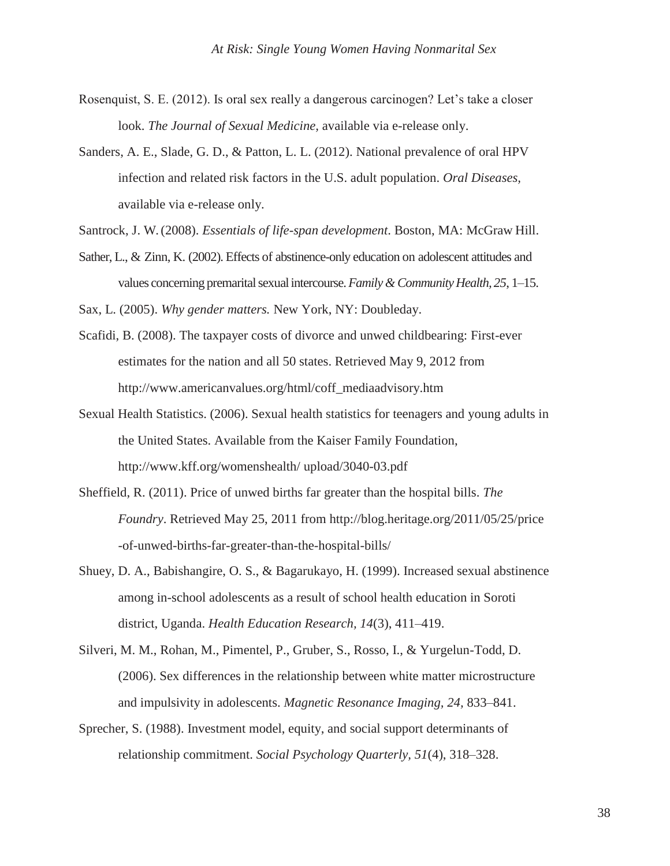- Rosenquist, S. E. (2012). Is oral sex really a dangerous carcinogen? Let's take a closer look. *The Journal of Sexual Medicine,* available via e-release only.
- Sanders, A. E., Slade, G. D., & Patton, L. L. (2012). National prevalence of oral HPV infection and related risk factors in the U.S. adult population. *Oral Diseases,*  available via e-release only.
- Santrock, J. W. (2008). *Essentials of life-span development*. Boston, MA: McGraw Hill.
- Sather, L., & Zinn, K. (2002). Effects of abstinence-only education on adolescent attitudes and values concerning premaritalsexualintercourse.*Family &Community Health, 25*, 1–15.

Sax, L. (2005). *Why gender matters.* New York, NY: Doubleday.

- Scafidi, B. (2008). The taxpayer costs of divorce and unwed childbearing: First-ever estimates for the nation and all 50 states. Retrieved May 9, 2012 from [http://www.americanvalues.org/html/coff\\_mediaadvisory.htm](http://www.americanvalues.org/html/coff_mediaadvisory.htm)
- Sexual Health Statistics. (2006). Sexual health statistics for teenagers and young adults in the United States. Available from the Kaiser Family Foundation, [http://www.kff.org/womenshealth/ u](http://www.kff.org/womenshealth/)pload/3040-03.pdf
- Sheffield, R. (2011). Price of unwed births far greater than the hospital bills. *The Foundry*. Retrieved May 25, 2011 from<http://blog.heritage.org/2011/05/25/price> -of-unwed-births-far-greater-than-the-hospital-bills/
- Shuey, D. A., Babishangire, O. S., & Bagarukayo, H. (1999). Increased sexual abstinence among in-school adolescents as a result of school health education in Soroti district, Uganda. *Health Education Research, 14*(3), 411–419.
- Silveri, M. M., Rohan, M., Pimentel, P., Gruber, S., Rosso, I., & Yurgelun-Todd, D. (2006). Sex differences in the relationship between white matter microstructure and impulsivity in adolescents. *Magnetic Resonance Imaging, 24,* 833–841.
- Sprecher, S. (1988). Investment model, equity, and social support determinants of relationship commitment. *Social Psychology Quarterly, 51*(4), 318–328.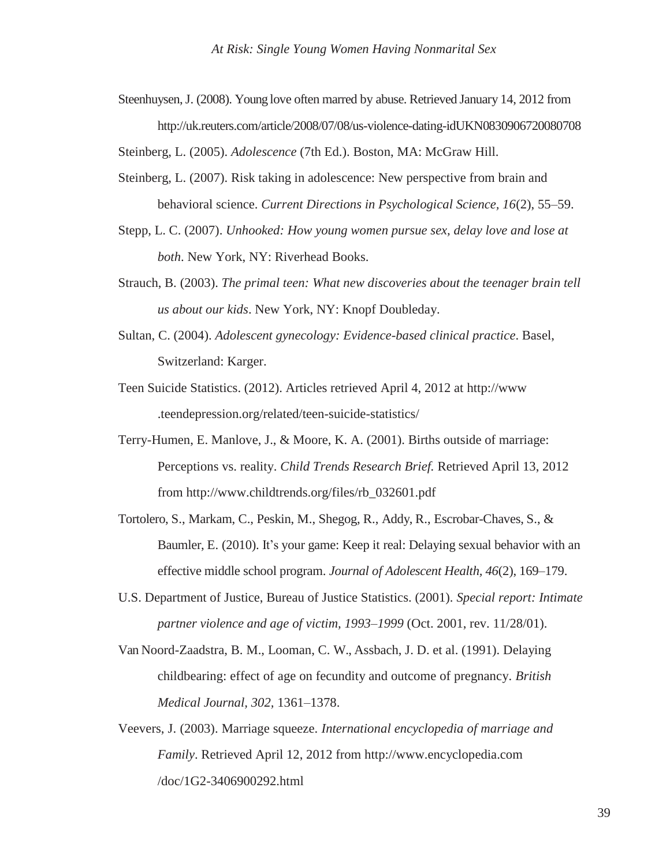Steenhuysen, J. (2008). Young love often marred by abuse. Retrieved January 14, 2012 from <http://uk.reuters.com/article/2008/07/08/us-violence-dating-idUKN0830906720080708>

Steinberg, L. (2005). *Adolescence* (7th Ed.). Boston, MA: McGraw Hill.

- Steinberg, L. (2007). Risk taking in adolescence: New perspective from brain and behavioral science. *Current Directions in Psychological Science, 16*(2), 55–59.
- Stepp, L. C. (2007). *Unhooked: How young women pursue sex, delay love and lose at both*. New York, NY: Riverhead Books.
- Strauch, B. (2003). *The primal teen: What new discoveries about the teenager brain tell us about our kids*. New York, NY: Knopf Doubleday.
- Sultan, C. (2004). *Adolescent gynecology: Evidence-based clinical practice*. Basel, Switzerland: Karger.
- Teen Suicide Statistics. (2012). Articles retrieved April 4, 2012 at [http://www](http://www/) .teendepression.org/related/teen-suicide-statistics/
- Terry-Humen, E. Manlove, J., & Moore, K. A. (2001). Births outside of marriage: Perceptions vs. reality. *Child Trends Research Brief.* Retrieved April 13, 2012 from [http://www.childtrends.org/files/rb\\_032601.pdf](http://www.childtrends.org/files/rb_032601.pdf)
- Tortolero, S., Markam, C., Peskin, M., Shegog, R., Addy, R., Escrobar-Chaves, S., & Baumler, E. (2010). It's your game: Keep it real: Delaying sexual behavior with an effective middle school program. *Journal of Adolescent Health, 46*(2), 169–179.
- U.S. Department of Justice, Bureau of Justice Statistics. (2001). *Special report: Intimate partner violence and age of victim, 1993–1999* (Oct. 2001, rev. 11/28/01).
- Van Noord-Zaadstra, B. M., Looman, C. W., Assbach, J. D. et al. (1991). Delaying childbearing: effect of age on fecundity and outcome of pregnancy. *British Medical Journal, 302,* 1361–1378.
- Veevers, J. (2003). Marriage squeeze. *International encyclopedia of marriage and Family*. Retrieved April 12, 2012 from [http://www.encyclopedia.com](http://www.encyclopedia.com/) /doc/1G2-3406900292.html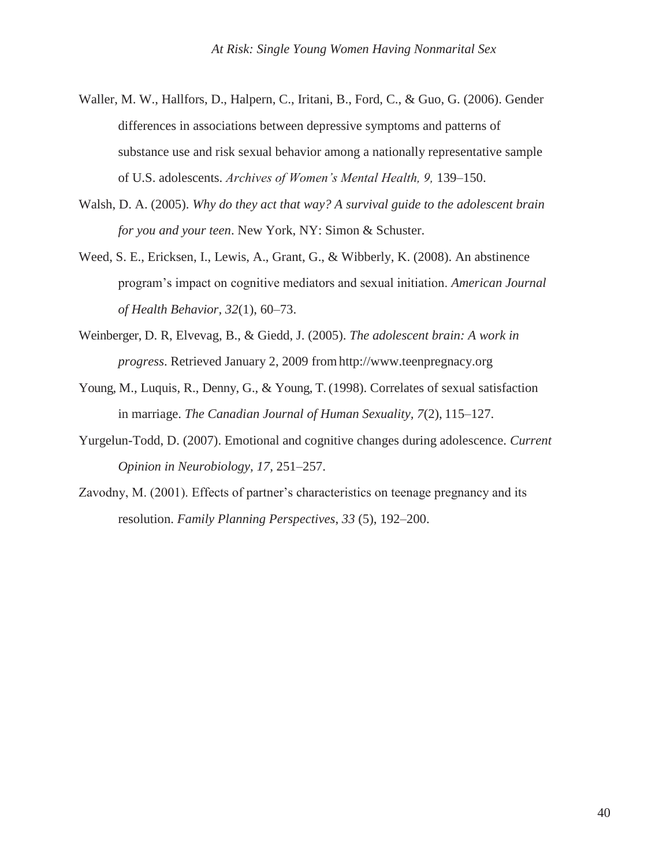- Waller, M. W., Hallfors, D., Halpern, C., Iritani, B., Ford, C., & Guo, G. (2006). Gender differences in associations between depressive symptoms and patterns of substance use and risk sexual behavior among a nationally representative sample of U.S. adolescents. *Archives of Women's Mental Health, 9,* 139–150.
- Walsh, D. A. (2005). *Why do they act that way? A survival guide to the adolescent brain for you and your teen*. New York, NY: Simon & Schuster.
- Weed, S. E., Ericksen, I., Lewis, A., Grant, G., & Wibberly, K. (2008). An abstinence program's impact on cognitive mediators and sexual initiation. *American Journal of Health Behavior, 32*(1), 60–73.
- Weinberger, D. R, Elvevag, B., & Giedd, J. (2005). *The adolescent brain: A work in progress*. Retrieved January 2, 2009 fro[mhttp://www.teenpregnacy.org](http://www.teenpregnacy.org/)
- Young, M., Luquis, R., Denny, G., & Young, T. (1998). Correlates of sexual satisfaction in marriage. *The Canadian Journal of Human Sexuality, 7*(2), 115–127.
- Yurgelun-Todd, D. (2007). Emotional and cognitive changes during adolescence. *Current Opinion in Neurobiology, 17,* 251–257.
- Zavodny, M. (2001). Effects of partner's characteristics on teenage pregnancy and its resolution. *Family Planning Perspectives*, *33* (5), 192–200.